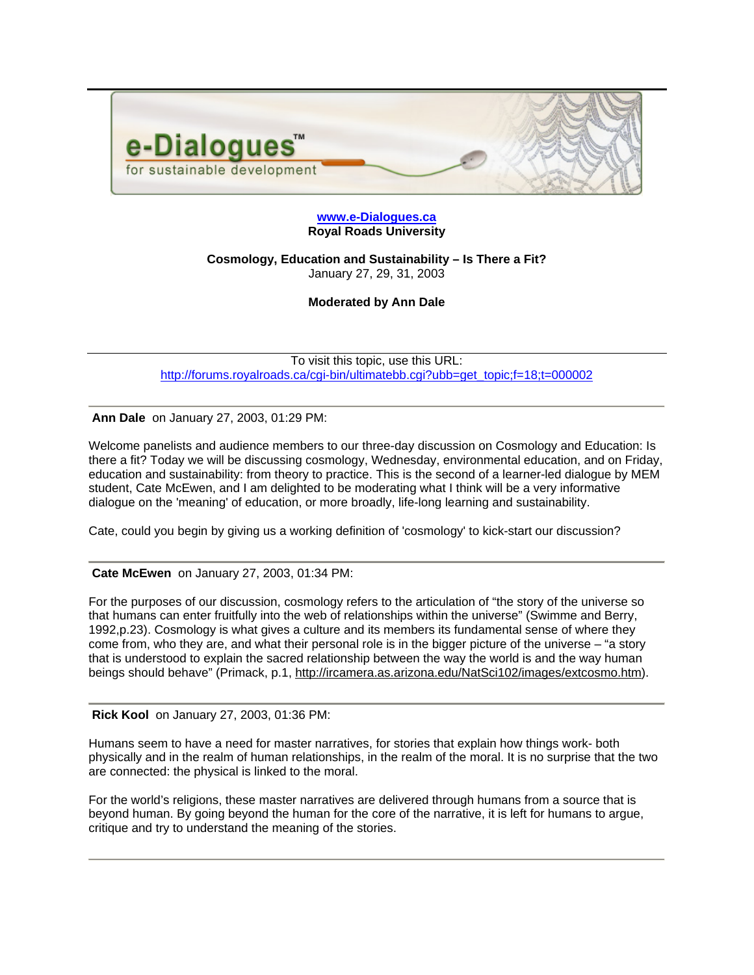

#### **<www.e-Dialogues.ca> Royal Roads University**

**Cosmology, Education and Sustainability – Is There a Fit?**  January 27, 29, 31, 2003

**Moderated by Ann Dale** 

To visit this topic, use this URL: [http://forums.royalroads.ca/cgi-bin/ultimatebb.cgi?ubb=get\\_topic;f=18;t=000002](http://forums.royalroads.ca/cgi-bin/ultimatebb.cgi?ubb=get_topic;f=18;t=000002)

**Ann Dale** on January 27, 2003, 01:29 PM:

Welcome panelists and audience members to our three-day discussion on Cosmology and Education: Is there a fit? Today we will be discussing cosmology, Wednesday, environmental education, and on Friday, education and sustainability: from theory to practice. This is the second of a learner-led dialogue by MEM student, Cate McEwen, and I am delighted to be moderating what I think will be a very informative dialogue on the 'meaning' of education, or more broadly, life-long learning and sustainability.

Cate, could you begin by giving us a working definition of 'cosmology' to kick-start our discussion?

**Cate McEwen** on January 27, 2003, 01:34 PM:

For the purposes of our discussion, cosmology refers to the articulation of "the story of the universe so that humans can enter fruitfully into the web of relationships within the universe" (Swimme and Berry, 1992,p.23). Cosmology is what gives a culture and its members its fundamental sense of where they come from, who they are, and what their personal role is in the bigger picture of the universe – "a story that is understood to explain the sacred relationship between the way the world is and the way human beings should behave" (Primack, p.1, http://ircamera.as.arizona.edu/NatSci102/images/extcosmo.htm).

**Rick Kool** on January 27, 2003, 01:36 PM:

Humans seem to have a need for master narratives, for stories that explain how things work- both physically and in the realm of human relationships, in the realm of the moral. It is no surprise that the two are connected: the physical is linked to the moral.

For the world's religions, these master narratives are delivered through humans from a source that is beyond human. By going beyond the human for the core of the narrative, it is left for humans to argue, critique and try to understand the meaning of the stories.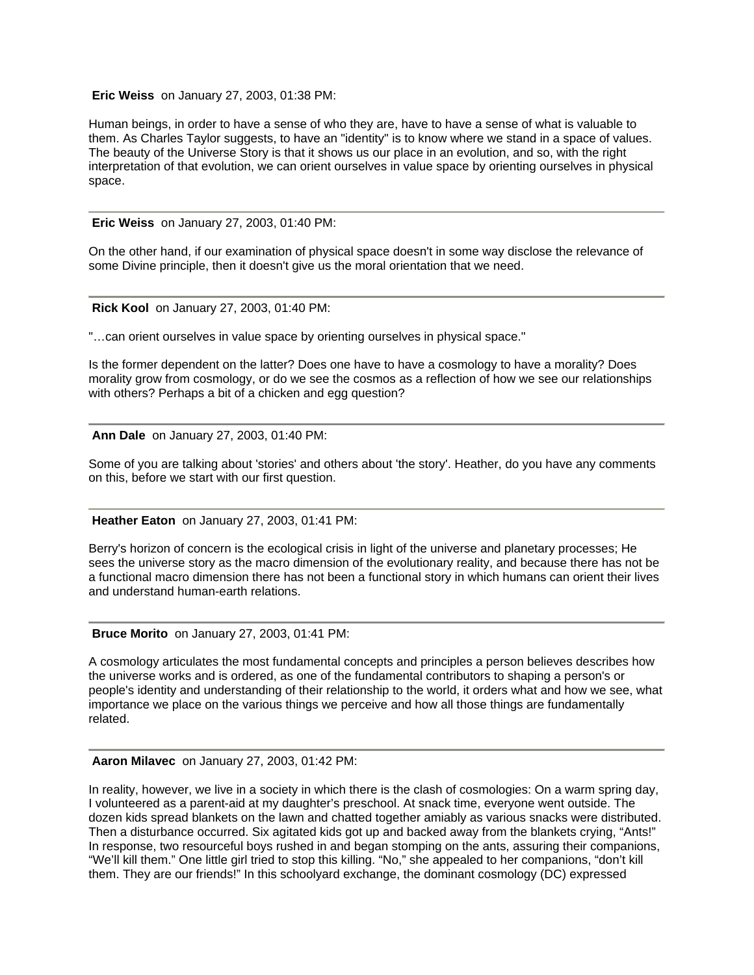**Eric Weiss** on January 27, 2003, 01:38 PM:

Human beings, in order to have a sense of who they are, have to have a sense of what is valuable to them. As Charles Taylor suggests, to have an "identity" is to know where we stand in a space of values. The beauty of the Universe Story is that it shows us our place in an evolution, and so, with the right interpretation of that evolution, we can orient ourselves in value space by orienting ourselves in physical space.

**Eric Weiss** on January 27, 2003, 01:40 PM:

On the other hand, if our examination of physical space doesn't in some way disclose the relevance of some Divine principle, then it doesn't give us the moral orientation that we need.

**Rick Kool** on January 27, 2003, 01:40 PM:

"…can orient ourselves in value space by orienting ourselves in physical space."

Is the former dependent on the latter? Does one have to have a cosmology to have a morality? Does morality grow from cosmology, or do we see the cosmos as a reflection of how we see our relationships with others? Perhaps a bit of a chicken and egg question?

**Ann Dale** on January 27, 2003, 01:40 PM:

Some of you are talking about 'stories' and others about 'the story'. Heather, do you have any comments on this, before we start with our first question.

**Heather Eaton** on January 27, 2003, 01:41 PM:

Berry's horizon of concern is the ecological crisis in light of the universe and planetary processes; He sees the universe story as the macro dimension of the evolutionary reality, and because there has not be a functional macro dimension there has not been a functional story in which humans can orient their lives and understand human-earth relations.

**Bruce Morito** on January 27, 2003, 01:41 PM:

A cosmology articulates the most fundamental concepts and principles a person believes describes how the universe works and is ordered, as one of the fundamental contributors to shaping a person's or people's identity and understanding of their relationship to the world, it orders what and how we see, what importance we place on the various things we perceive and how all those things are fundamentally related.

**Aaron Milavec** on January 27, 2003, 01:42 PM:

In reality, however, we live in a society in which there is the clash of cosmologies: On a warm spring day, I volunteered as a parent-aid at my daughter's preschool. At snack time, everyone went outside. The dozen kids spread blankets on the lawn and chatted together amiably as various snacks were distributed. Then a disturbance occurred. Six agitated kids got up and backed away from the blankets crying, "Ants!" In response, two resourceful boys rushed in and began stomping on the ants, assuring their companions, "We'll kill them." One little girl tried to stop this killing. "No," she appealed to her companions, "don't kill them. They are our friends!" In this schoolyard exchange, the dominant cosmology (DC) expressed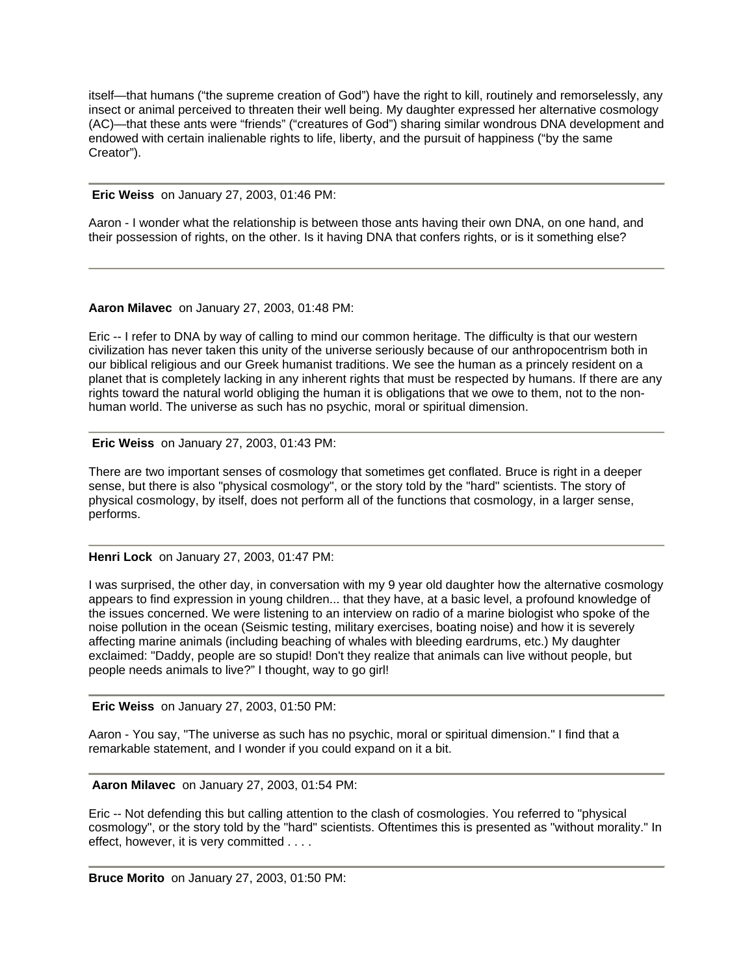itself—that humans ("the supreme creation of God") have the right to kill, routinely and remorselessly, any insect or animal perceived to threaten their well being. My daughter expressed her alternative cosmology (AC)—that these ants were "friends" ("creatures of God") sharing similar wondrous DNA development and endowed with certain inalienable rights to life, liberty, and the pursuit of happiness ("by the same Creator").

# **Eric Weiss** on January 27, 2003, 01:46 PM:

Aaron - I wonder what the relationship is between those ants having their own DNA, on one hand, and their possession of rights, on the other. Is it having DNA that confers rights, or is it something else?

**Aaron Milavec** on January 27, 2003, 01:48 PM:

Eric -- I refer to DNA by way of calling to mind our common heritage. The difficulty is that our western civilization has never taken this unity of the universe seriously because of our anthropocentrism both in our biblical religious and our Greek humanist traditions. We see the human as a princely resident on a planet that is completely lacking in any inherent rights that must be respected by humans. If there are any rights toward the natural world obliging the human it is obligations that we owe to them, not to the nonhuman world. The universe as such has no psychic, moral or spiritual dimension.

**Eric Weiss** on January 27, 2003, 01:43 PM:

There are two important senses of cosmology that sometimes get conflated. Bruce is right in a deeper sense, but there is also "physical cosmology", or the story told by the "hard" scientists. The story of physical cosmology, by itself, does not perform all of the functions that cosmology, in a larger sense, performs.

**Henri Lock** on January 27, 2003, 01:47 PM:

I was surprised, the other day, in conversation with my 9 year old daughter how the alternative cosmology appears to find expression in young children... that they have, at a basic level, a profound knowledge of the issues concerned. We were listening to an interview on radio of a marine biologist who spoke of the noise pollution in the ocean (Seismic testing, military exercises, boating noise) and how it is severely affecting marine animals (including beaching of whales with bleeding eardrums, etc.) My daughter exclaimed: "Daddy, people are so stupid! Don't they realize that animals can live without people, but people needs animals to live?" I thought, way to go girl!

**Eric Weiss** on January 27, 2003, 01:50 PM:

Aaron - You say, "The universe as such has no psychic, moral or spiritual dimension." I find that a remarkable statement, and I wonder if you could expand on it a bit.

 **Aaron Milavec** on January 27, 2003, 01:54 PM:

Eric -- Not defending this but calling attention to the clash of cosmologies. You referred to "physical cosmology", or the story told by the "hard" scientists. Oftentimes this is presented as "without morality." In effect, however, it is very committed . . . .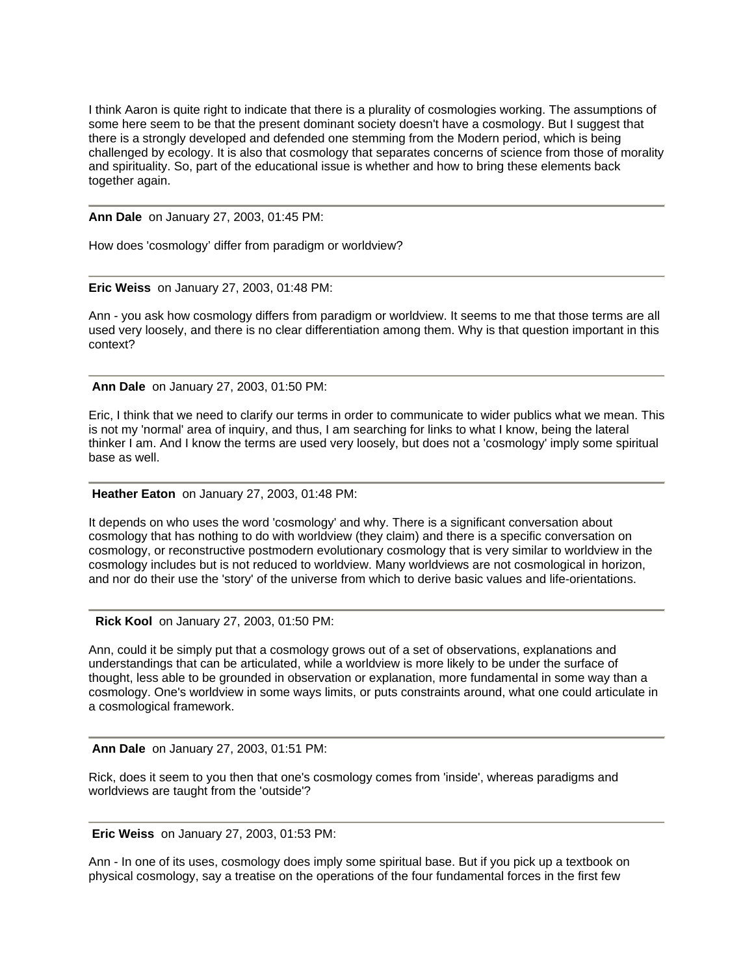I think Aaron is quite right to indicate that there is a plurality of cosmologies working. The assumptions of some here seem to be that the present dominant society doesn't have a cosmology. But I suggest that there is a strongly developed and defended one stemming from the Modern period, which is being challenged by ecology. It is also that cosmology that separates concerns of science from those of morality and spirituality. So, part of the educational issue is whether and how to bring these elements back together again.

**Ann Dale** on January 27, 2003, 01:45 PM:

How does 'cosmology' differ from paradigm or worldview?

**Eric Weiss** on January 27, 2003, 01:48 PM:

Ann - you ask how cosmology differs from paradigm or worldview. It seems to me that those terms are all used very loosely, and there is no clear differentiation among them. Why is that question important in this context?

**Ann Dale** on January 27, 2003, 01:50 PM:

Eric, I think that we need to clarify our terms in order to communicate to wider publics what we mean. This is not my 'normal' area of inquiry, and thus, I am searching for links to what I know, being the lateral thinker I am. And I know the terms are used very loosely, but does not a 'cosmology' imply some spiritual base as well.

**Heather Eaton** on January 27, 2003, 01:48 PM:

It depends on who uses the word 'cosmology' and why. There is a significant conversation about cosmology that has nothing to do with worldview (they claim) and there is a specific conversation on cosmology, or reconstructive postmodern evolutionary cosmology that is very similar to worldview in the cosmology includes but is not reduced to worldview. Many worldviews are not cosmological in horizon, and nor do their use the 'story' of the universe from which to derive basic values and life-orientations.

**Rick Kool** on January 27, 2003, 01:50 PM:

Ann, could it be simply put that a cosmology grows out of a set of observations, explanations and understandings that can be articulated, while a worldview is more likely to be under the surface of thought, less able to be grounded in observation or explanation, more fundamental in some way than a cosmology. One's worldview in some ways limits, or puts constraints around, what one could articulate in a cosmological framework.

**Ann Dale** on January 27, 2003, 01:51 PM:

Rick, does it seem to you then that one's cosmology comes from 'inside', whereas paradigms and worldviews are taught from the 'outside'?

**Eric Weiss** on January 27, 2003, 01:53 PM:

Ann - In one of its uses, cosmology does imply some spiritual base. But if you pick up a textbook on physical cosmology, say a treatise on the operations of the four fundamental forces in the first few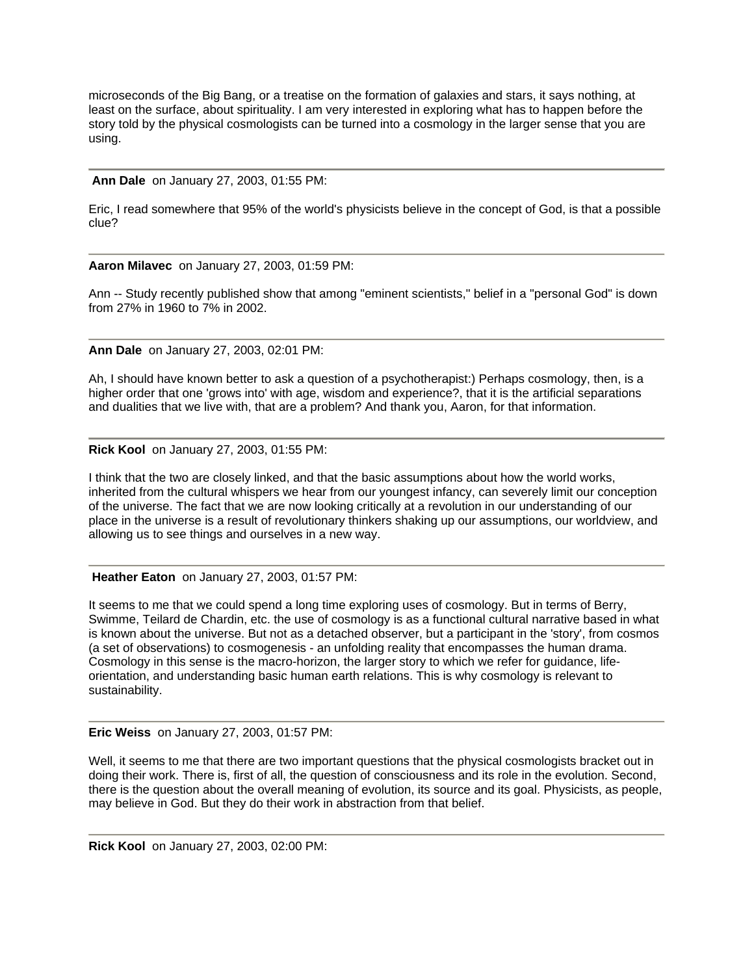microseconds of the Big Bang, or a treatise on the formation of galaxies and stars, it says nothing, at least on the surface, about spirituality. I am very interested in exploring what has to happen before the story told by the physical cosmologists can be turned into a cosmology in the larger sense that you are using.

### **Ann Dale** on January 27, 2003, 01:55 PM:

Eric, I read somewhere that 95% of the world's physicists believe in the concept of God, is that a possible clue?

**Aaron Milavec** on January 27, 2003, 01:59 PM:

Ann -- Study recently published show that among "eminent scientists," belief in a "personal God" is down from 27% in 1960 to 7% in 2002.

**Ann Dale** on January 27, 2003, 02:01 PM:

Ah, I should have known better to ask a question of a psychotherapist:) Perhaps cosmology, then, is a higher order that one 'grows into' with age, wisdom and experience?, that it is the artificial separations and dualities that we live with, that are a problem? And thank you, Aaron, for that information.

**Rick Kool** on January 27, 2003, 01:55 PM:

I think that the two are closely linked, and that the basic assumptions about how the world works, inherited from the cultural whispers we hear from our youngest infancy, can severely limit our conception of the universe. The fact that we are now looking critically at a revolution in our understanding of our place in the universe is a result of revolutionary thinkers shaking up our assumptions, our worldview, and allowing us to see things and ourselves in a new way.

**Heather Eaton** on January 27, 2003, 01:57 PM:

It seems to me that we could spend a long time exploring uses of cosmology. But in terms of Berry, Swimme, Teilard de Chardin, etc. the use of cosmology is as a functional cultural narrative based in what is known about the universe. But not as a detached observer, but a participant in the 'story', from cosmos (a set of observations) to cosmogenesis - an unfolding reality that encompasses the human drama. Cosmology in this sense is the macro-horizon, the larger story to which we refer for guidance, lifeorientation, and understanding basic human earth relations. This is why cosmology is relevant to sustainability.

**Eric Weiss** on January 27, 2003, 01:57 PM:

Well, it seems to me that there are two important questions that the physical cosmologists bracket out in doing their work. There is, first of all, the question of consciousness and its role in the evolution. Second, there is the question about the overall meaning of evolution, its source and its goal. Physicists, as people, may believe in God. But they do their work in abstraction from that belief.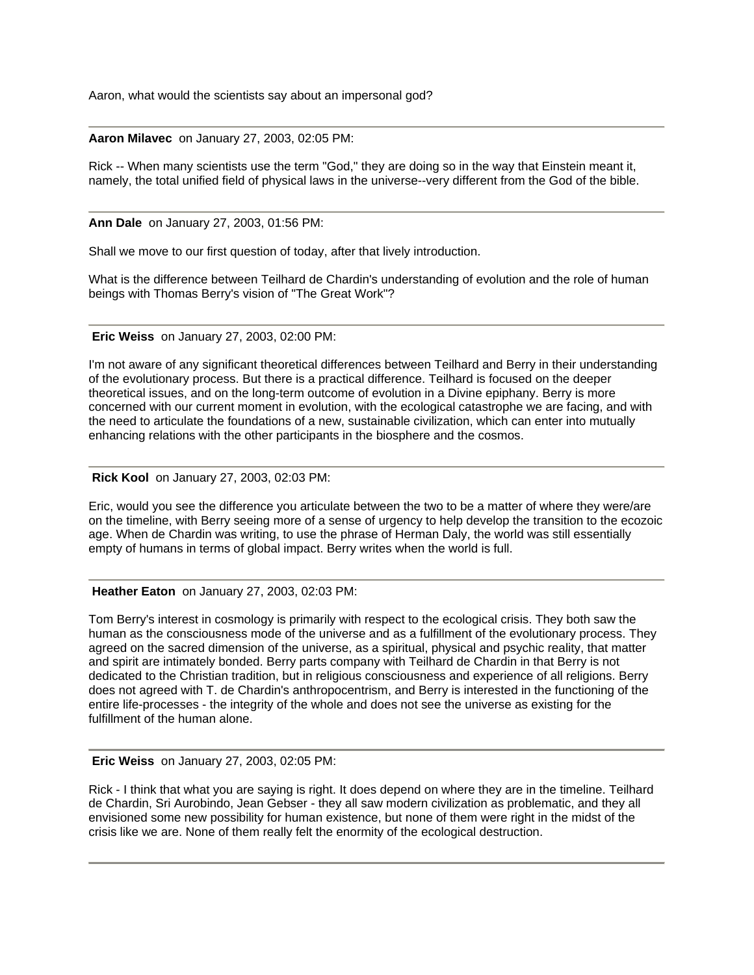Aaron, what would the scientists say about an impersonal god?

### **Aaron Milavec** on January 27, 2003, 02:05 PM:

Rick -- When many scientists use the term "God," they are doing so in the way that Einstein meant it, namely, the total unified field of physical laws in the universe--very different from the God of the bible.

**Ann Dale** on January 27, 2003, 01:56 PM:

Shall we move to our first question of today, after that lively introduction.

What is the difference between Teilhard de Chardin's understanding of evolution and the role of human beings with Thomas Berry's vision of "The Great Work"?

# **Eric Weiss** on January 27, 2003, 02:00 PM:

I'm not aware of any significant theoretical differences between Teilhard and Berry in their understanding of the evolutionary process. But there is a practical difference. Teilhard is focused on the deeper theoretical issues, and on the long-term outcome of evolution in a Divine epiphany. Berry is more concerned with our current moment in evolution, with the ecological catastrophe we are facing, and with the need to articulate the foundations of a new, sustainable civilization, which can enter into mutually enhancing relations with the other participants in the biosphere and the cosmos.

### **Rick Kool** on January 27, 2003, 02:03 PM:

Eric, would you see the difference you articulate between the two to be a matter of where they were/are on the timeline, with Berry seeing more of a sense of urgency to help develop the transition to the ecozoic age. When de Chardin was writing, to use the phrase of Herman Daly, the world was still essentially empty of humans in terms of global impact. Berry writes when the world is full.

#### **Heather Eaton** on January 27, 2003, 02:03 PM:

Tom Berry's interest in cosmology is primarily with respect to the ecological crisis. They both saw the human as the consciousness mode of the universe and as a fulfillment of the evolutionary process. They agreed on the sacred dimension of the universe, as a spiritual, physical and psychic reality, that matter and spirit are intimately bonded. Berry parts company with Teilhard de Chardin in that Berry is not dedicated to the Christian tradition, but in religious consciousness and experience of all religions. Berry does not agreed with T. de Chardin's anthropocentrism, and Berry is interested in the functioning of the entire life-processes - the integrity of the whole and does not see the universe as existing for the fulfillment of the human alone.

# **Eric Weiss** on January 27, 2003, 02:05 PM:

Rick - I think that what you are saying is right. It does depend on where they are in the timeline. Teilhard de Chardin, Sri Aurobindo, Jean Gebser - they all saw modern civilization as problematic, and they all envisioned some new possibility for human existence, but none of them were right in the midst of the crisis like we are. None of them really felt the enormity of the ecological destruction.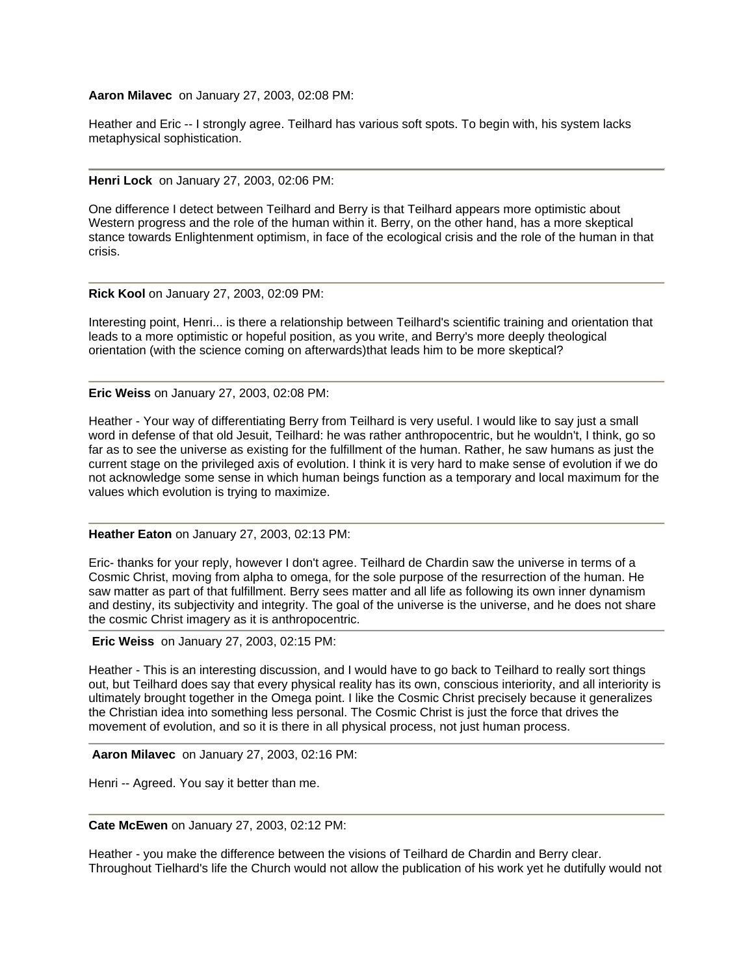**Aaron Milavec** on January 27, 2003, 02:08 PM:

Heather and Eric -- I strongly agree. Teilhard has various soft spots. To begin with, his system lacks metaphysical sophistication.

**Henri Lock** on January 27, 2003, 02:06 PM:

One difference I detect between Teilhard and Berry is that Teilhard appears more optimistic about Western progress and the role of the human within it. Berry, on the other hand, has a more skeptical stance towards Enlightenment optimism, in face of the ecological crisis and the role of the human in that crisis.

**Rick Kool** on January 27, 2003, 02:09 PM:

Interesting point, Henri... is there a relationship between Teilhard's scientific training and orientation that leads to a more optimistic or hopeful position, as you write, and Berry's more deeply theological orientation (with the science coming on afterwards)that leads him to be more skeptical?

**Eric Weiss** on January 27, 2003, 02:08 PM:

Heather - Your way of differentiating Berry from Teilhard is very useful. I would like to say just a small word in defense of that old Jesuit, Teilhard: he was rather anthropocentric, but he wouldn't, I think, go so far as to see the universe as existing for the fulfillment of the human. Rather, he saw humans as just the current stage on the privileged axis of evolution. I think it is very hard to make sense of evolution if we do not acknowledge some sense in which human beings function as a temporary and local maximum for the values which evolution is trying to maximize.

**Heather Eaton** on January 27, 2003, 02:13 PM:

Eric- thanks for your reply, however I don't agree. Teilhard de Chardin saw the universe in terms of a Cosmic Christ, moving from alpha to omega, for the sole purpose of the resurrection of the human. He saw matter as part of that fulfillment. Berry sees matter and all life as following its own inner dynamism and destiny, its subjectivity and integrity. The goal of the universe is the universe, and he does not share the cosmic Christ imagery as it is anthropocentric.

**Eric Weiss** on January 27, 2003, 02:15 PM:

Heather - This is an interesting discussion, and I would have to go back to Teilhard to really sort things out, but Teilhard does say that every physical reality has its own, conscious interiority, and all interiority is ultimately brought together in the Omega point. I like the Cosmic Christ precisely because it generalizes the Christian idea into something less personal. The Cosmic Christ is just the force that drives the movement of evolution, and so it is there in all physical process, not just human process.

**Aaron Milavec** on January 27, 2003, 02:16 PM:

Henri -- Agreed. You say it better than me.

**Cate McEwen** on January 27, 2003, 02:12 PM:

Heather - you make the difference between the visions of Teilhard de Chardin and Berry clear. Throughout Tielhard's life the Church would not allow the publication of his work yet he dutifully would not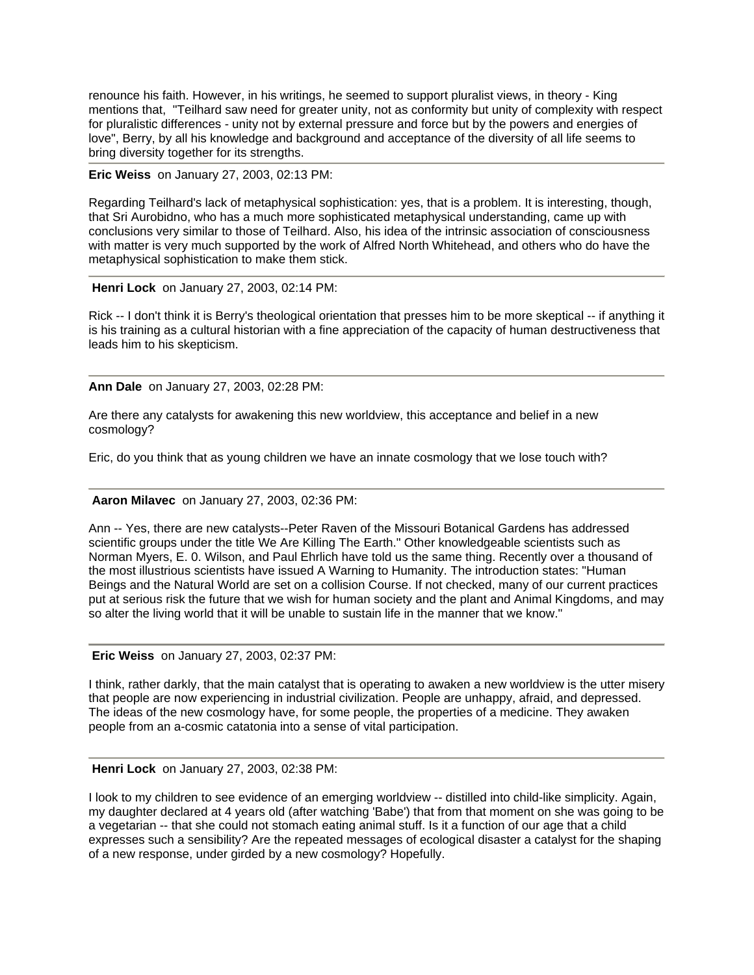renounce his faith. However, in his writings, he seemed to support pluralist views, in theory - King mentions that, "Teilhard saw need for greater unity, not as conformity but unity of complexity with respect for pluralistic differences - unity not by external pressure and force but by the powers and energies of love", Berry, by all his knowledge and background and acceptance of the diversity of all life seems to bring diversity together for its strengths.

**Eric Weiss** on January 27, 2003, 02:13 PM:

Regarding Teilhard's lack of metaphysical sophistication: yes, that is a problem. It is interesting, though, that Sri Aurobidno, who has a much more sophisticated metaphysical understanding, came up with conclusions very similar to those of Teilhard. Also, his idea of the intrinsic association of consciousness with matter is very much supported by the work of Alfred North Whitehead, and others who do have the metaphysical sophistication to make them stick.

**Henri Lock** on January 27, 2003, 02:14 PM:

Rick -- I don't think it is Berry's theological orientation that presses him to be more skeptical -- if anything it is his training as a cultural historian with a fine appreciation of the capacity of human destructiveness that leads him to his skepticism.

**Ann Dale** on January 27, 2003, 02:28 PM:

Are there any catalysts for awakening this new worldview, this acceptance and belief in a new cosmology?

Eric, do you think that as young children we have an innate cosmology that we lose touch with?

# **Aaron Milavec** on January 27, 2003, 02:36 PM:

Ann -- Yes, there are new catalysts--Peter Raven of the Missouri Botanical Gardens has addressed scientific groups under the title We Are Killing The Earth." Other knowledgeable scientists such as Norman Myers, E. 0. Wilson, and Paul Ehrlich have told us the same thing. Recently over a thousand of the most illustrious scientists have issued A Warning to Humanity. The introduction states: "Human Beings and the Natural World are set on a collision Course. If not checked, many of our current practices put at serious risk the future that we wish for human society and the plant and Animal Kingdoms, and may so alter the living world that it will be unable to sustain life in the manner that we know."

**Eric Weiss** on January 27, 2003, 02:37 PM:

I think, rather darkly, that the main catalyst that is operating to awaken a new worldview is the utter misery that people are now experiencing in industrial civilization. People are unhappy, afraid, and depressed. The ideas of the new cosmology have, for some people, the properties of a medicine. They awaken people from an a-cosmic catatonia into a sense of vital participation.

**Henri Lock** on January 27, 2003, 02:38 PM:

I look to my children to see evidence of an emerging worldview -- distilled into child-like simplicity. Again, my daughter declared at 4 years old (after watching 'Babe') that from that moment on she was going to be a vegetarian -- that she could not stomach eating animal stuff. Is it a function of our age that a child expresses such a sensibility? Are the repeated messages of ecological disaster a catalyst for the shaping of a new response, under girded by a new cosmology? Hopefully.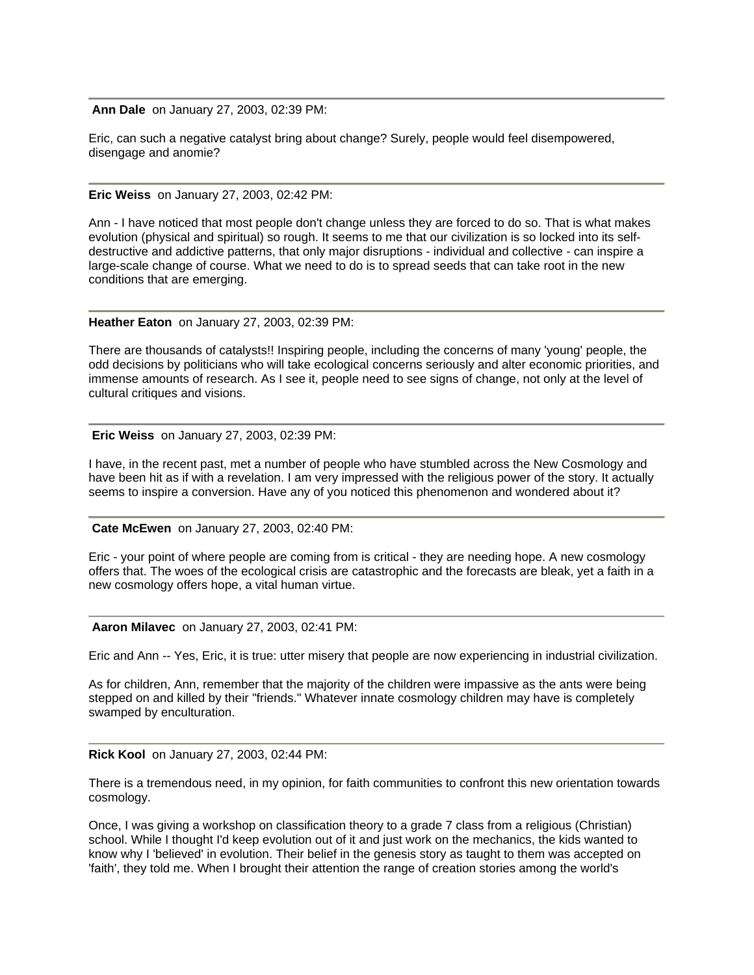#### **Ann Dale** on January 27, 2003, 02:39 PM:

Eric, can such a negative catalyst bring about change? Surely, people would feel disempowered, disengage and anomie?

# **Eric Weiss** on January 27, 2003, 02:42 PM:

Ann - I have noticed that most people don't change unless they are forced to do so. That is what makes evolution (physical and spiritual) so rough. It seems to me that our civilization is so locked into its selfdestructive and addictive patterns, that only major disruptions - individual and collective - can inspire a large-scale change of course. What we need to do is to spread seeds that can take root in the new conditions that are emerging.

**Heather Eaton** on January 27, 2003, 02:39 PM:

There are thousands of catalysts!! Inspiring people, including the concerns of many 'young' people, the odd decisions by politicians who will take ecological concerns seriously and alter economic priorities, and immense amounts of research. As I see it, people need to see signs of change, not only at the level of cultural critiques and visions.

# **Eric Weiss** on January 27, 2003, 02:39 PM:

I have, in the recent past, met a number of people who have stumbled across the New Cosmology and have been hit as if with a revelation. I am very impressed with the religious power of the story. It actually seems to inspire a conversion. Have any of you noticed this phenomenon and wondered about it?

**Cate McEwen** on January 27, 2003, 02:40 PM:

Eric - your point of where people are coming from is critical - they are needing hope. A new cosmology offers that. The woes of the ecological crisis are catastrophic and the forecasts are bleak, yet a faith in a new cosmology offers hope, a vital human virtue.

**Aaron Milavec** on January 27, 2003, 02:41 PM:

Eric and Ann -- Yes, Eric, it is true: utter misery that people are now experiencing in industrial civilization.

As for children, Ann, remember that the majority of the children were impassive as the ants were being stepped on and killed by their "friends." Whatever innate cosmology children may have is completely swamped by enculturation.

**Rick Kool** on January 27, 2003, 02:44 PM:

There is a tremendous need, in my opinion, for faith communities to confront this new orientation towards cosmology.

Once, I was giving a workshop on classification theory to a grade 7 class from a religious (Christian) school. While I thought I'd keep evolution out of it and just work on the mechanics, the kids wanted to know why I 'believed' in evolution. Their belief in the genesis story as taught to them was accepted on 'faith', they told me. When I brought their attention the range of creation stories among the world's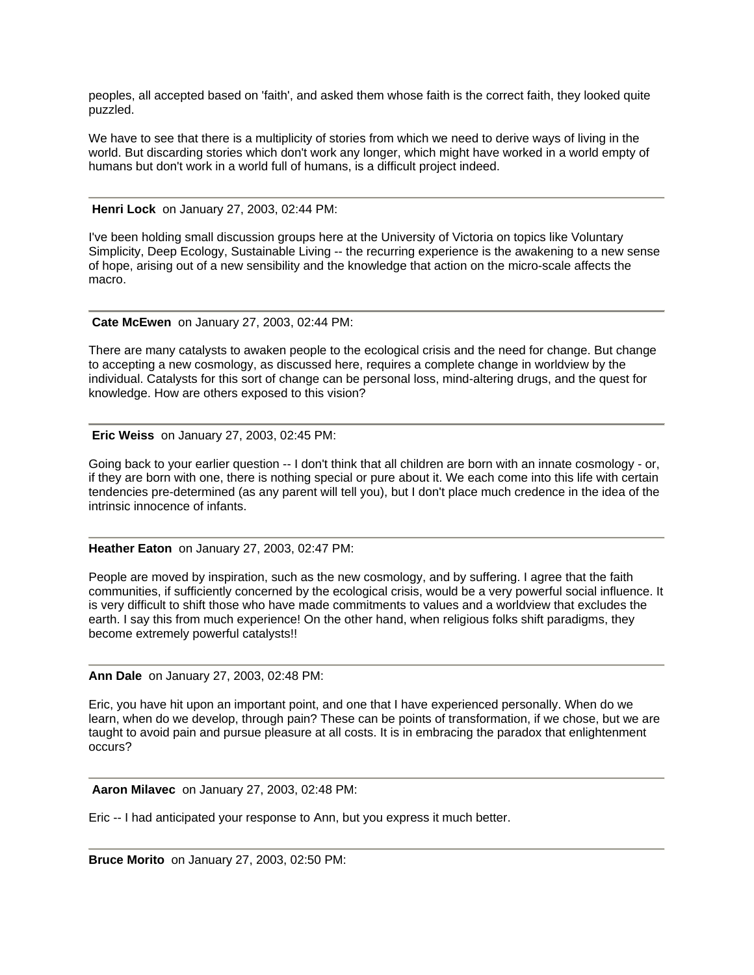peoples, all accepted based on 'faith', and asked them whose faith is the correct faith, they looked quite puzzled.

We have to see that there is a multiplicity of stories from which we need to derive ways of living in the world. But discarding stories which don't work any longer, which might have worked in a world empty of humans but don't work in a world full of humans, is a difficult project indeed.

### **Henri Lock** on January 27, 2003, 02:44 PM:

I've been holding small discussion groups here at the University of Victoria on topics like Voluntary Simplicity, Deep Ecology, Sustainable Living -- the recurring experience is the awakening to a new sense of hope, arising out of a new sensibility and the knowledge that action on the micro-scale affects the macro.

**Cate McEwen** on January 27, 2003, 02:44 PM:

There are many catalysts to awaken people to the ecological crisis and the need for change. But change to accepting a new cosmology, as discussed here, requires a complete change in worldview by the individual. Catalysts for this sort of change can be personal loss, mind-altering drugs, and the quest for knowledge. How are others exposed to this vision?

# **Eric Weiss** on January 27, 2003, 02:45 PM:

Going back to your earlier question -- I don't think that all children are born with an innate cosmology - or, if they are born with one, there is nothing special or pure about it. We each come into this life with certain tendencies pre-determined (as any parent will tell you), but I don't place much credence in the idea of the intrinsic innocence of infants.

**Heather Eaton** on January 27, 2003, 02:47 PM:

People are moved by inspiration, such as the new cosmology, and by suffering. I agree that the faith communities, if sufficiently concerned by the ecological crisis, would be a very powerful social influence. It is very difficult to shift those who have made commitments to values and a worldview that excludes the earth. I say this from much experience! On the other hand, when religious folks shift paradigms, they become extremely powerful catalysts!!

**Ann Dale** on January 27, 2003, 02:48 PM:

Eric, you have hit upon an important point, and one that I have experienced personally. When do we learn, when do we develop, through pain? These can be points of transformation, if we chose, but we are taught to avoid pain and pursue pleasure at all costs. It is in embracing the paradox that enlightenment occurs?

**Aaron Milavec** on January 27, 2003, 02:48 PM:

Eric -- I had anticipated your response to Ann, but you express it much better.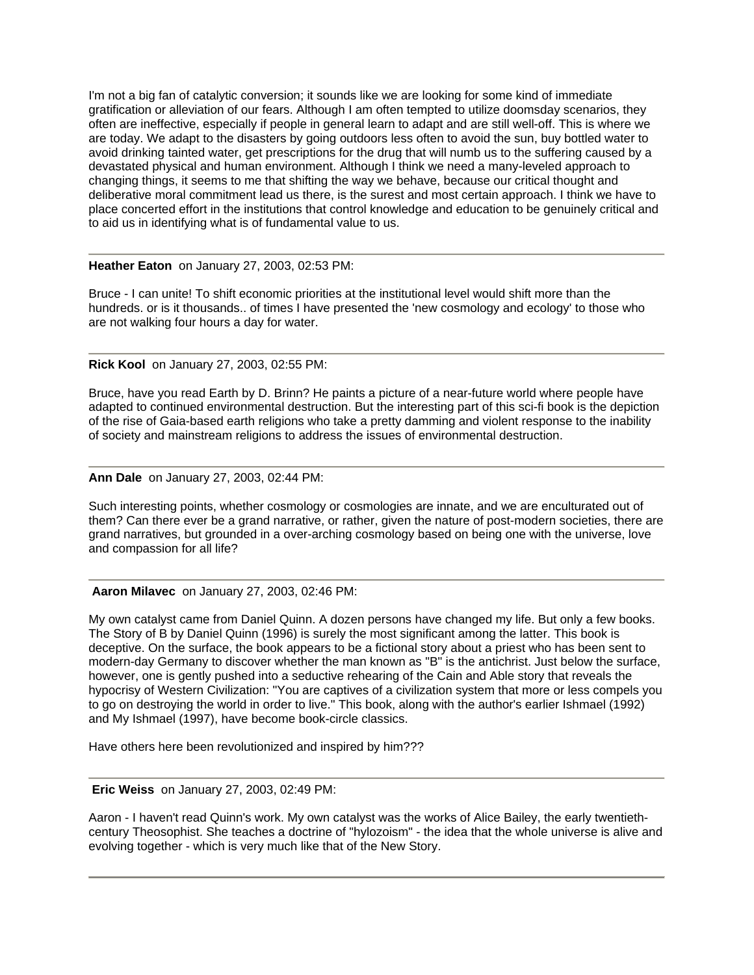I'm not a big fan of catalytic conversion; it sounds like we are looking for some kind of immediate gratification or alleviation of our fears. Although I am often tempted to utilize doomsday scenarios, they often are ineffective, especially if people in general learn to adapt and are still well-off. This is where we are today. We adapt to the disasters by going outdoors less often to avoid the sun, buy bottled water to avoid drinking tainted water, get prescriptions for the drug that will numb us to the suffering caused by a devastated physical and human environment. Although I think we need a many-leveled approach to changing things, it seems to me that shifting the way we behave, because our critical thought and deliberative moral commitment lead us there, is the surest and most certain approach. I think we have to place concerted effort in the institutions that control knowledge and education to be genuinely critical and to aid us in identifying what is of fundamental value to us.

**Heather Eaton** on January 27, 2003, 02:53 PM:

Bruce - I can unite! To shift economic priorities at the institutional level would shift more than the hundreds. or is it thousands.. of times I have presented the 'new cosmology and ecology' to those who are not walking four hours a day for water.

**Rick Kool** on January 27, 2003, 02:55 PM:

Bruce, have you read Earth by D. Brinn? He paints a picture of a near-future world where people have adapted to continued environmental destruction. But the interesting part of this sci-fi book is the depiction of the rise of Gaia-based earth religions who take a pretty damming and violent response to the inability of society and mainstream religions to address the issues of environmental destruction.

**Ann Dale** on January 27, 2003, 02:44 PM:

Such interesting points, whether cosmology or cosmologies are innate, and we are enculturated out of them? Can there ever be a grand narrative, or rather, given the nature of post-modern societies, there are grand narratives, but grounded in a over-arching cosmology based on being one with the universe, love and compassion for all life?

**Aaron Milavec** on January 27, 2003, 02:46 PM:

My own catalyst came from Daniel Quinn. A dozen persons have changed my life. But only a few books. The Story of B by Daniel Quinn (1996) is surely the most significant among the latter. This book is deceptive. On the surface, the book appears to be a fictional story about a priest who has been sent to modern-day Germany to discover whether the man known as "B" is the antichrist. Just below the surface, however, one is gently pushed into a seductive rehearing of the Cain and Able story that reveals the hypocrisy of Western Civilization: "You are captives of a civilization system that more or less compels you to go on destroying the world in order to live." This book, along with the author's earlier Ishmael (1992) and My Ishmael (1997), have become book-circle classics.

Have others here been revolutionized and inspired by him???

**Eric Weiss** on January 27, 2003, 02:49 PM:

Aaron - I haven't read Quinn's work. My own catalyst was the works of Alice Bailey, the early twentiethcentury Theosophist. She teaches a doctrine of "hylozoism" - the idea that the whole universe is alive and evolving together - which is very much like that of the New Story.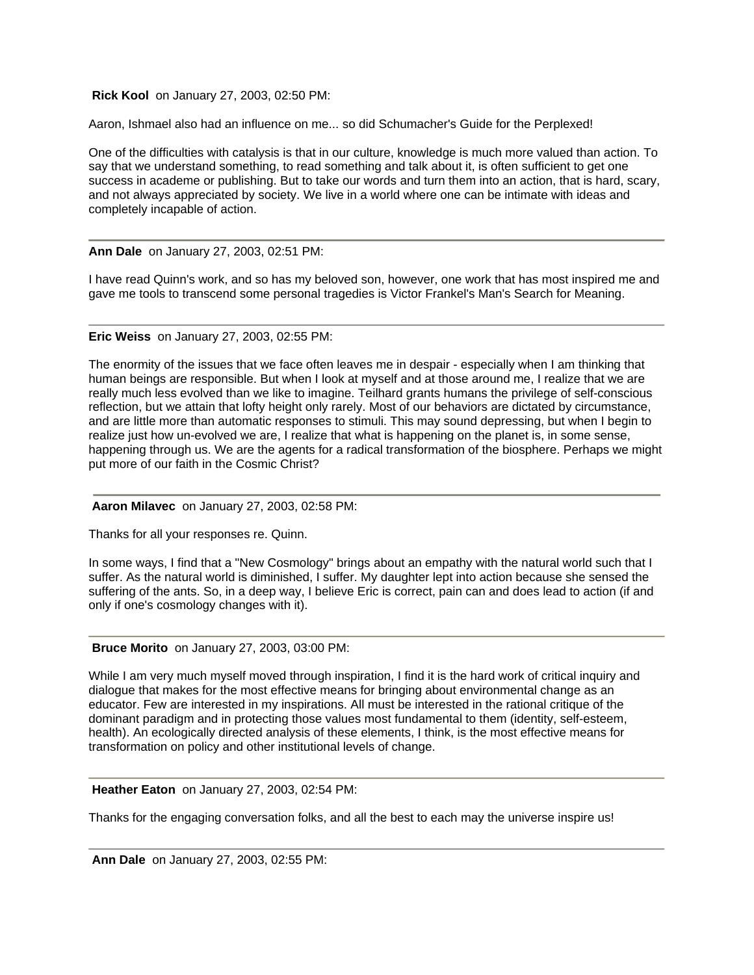**Rick Kool** on January 27, 2003, 02:50 PM:

Aaron, Ishmael also had an influence on me... so did Schumacher's Guide for the Perplexed!

One of the difficulties with catalysis is that in our culture, knowledge is much more valued than action. To say that we understand something, to read something and talk about it, is often sufficient to get one success in academe or publishing. But to take our words and turn them into an action, that is hard, scary, and not always appreciated by society. We live in a world where one can be intimate with ideas and completely incapable of action.

# **Ann Dale** on January 27, 2003, 02:51 PM:

I have read Quinn's work, and so has my beloved son, however, one work that has most inspired me and gave me tools to transcend some personal tragedies is Victor Frankel's Man's Search for Meaning.

# **Eric Weiss** on January 27, 2003, 02:55 PM:

The enormity of the issues that we face often leaves me in despair - especially when I am thinking that human beings are responsible. But when I look at myself and at those around me, I realize that we are really much less evolved than we like to imagine. Teilhard grants humans the privilege of self-conscious reflection, but we attain that lofty height only rarely. Most of our behaviors are dictated by circumstance, and are little more than automatic responses to stimuli. This may sound depressing, but when I begin to realize just how un-evolved we are, I realize that what is happening on the planet is, in some sense, happening through us. We are the agents for a radical transformation of the biosphere. Perhaps we might put more of our faith in the Cosmic Christ?

# **Aaron Milavec** on January 27, 2003, 02:58 PM:

Thanks for all your responses re. Quinn.

In some ways, I find that a "New Cosmology" brings about an empathy with the natural world such that I suffer. As the natural world is diminished, I suffer. My daughter lept into action because she sensed the suffering of the ants. So, in a deep way, I believe Eric is correct, pain can and does lead to action (if and only if one's cosmology changes with it).

# **Bruce Morito** on January 27, 2003, 03:00 PM:

While I am very much myself moved through inspiration, I find it is the hard work of critical inquiry and dialogue that makes for the most effective means for bringing about environmental change as an educator. Few are interested in my inspirations. All must be interested in the rational critique of the dominant paradigm and in protecting those values most fundamental to them (identity, self-esteem, health). An ecologically directed analysis of these elements, I think, is the most effective means for transformation on policy and other institutional levels of change.

# **Heather Eaton** on January 27, 2003, 02:54 PM:

Thanks for the engaging conversation folks, and all the best to each may the universe inspire us!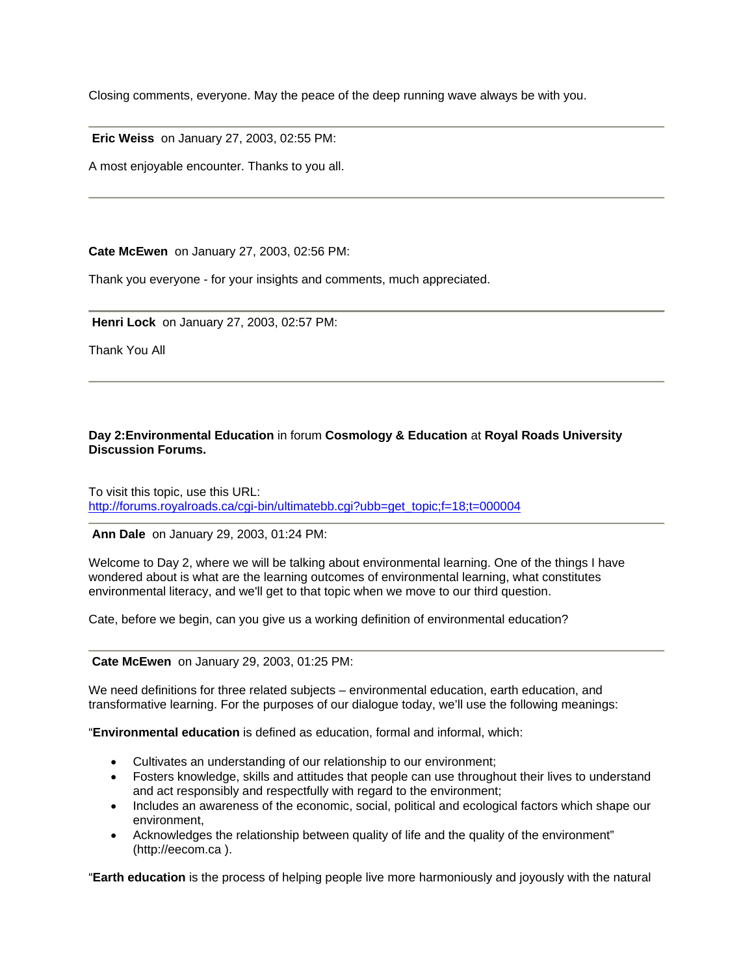Closing comments, everyone. May the peace of the deep running wave always be with you.

**Eric Weiss** on January 27, 2003, 02:55 PM:

A most enjoyable encounter. Thanks to you all.

**Cate McEwen** on January 27, 2003, 02:56 PM:

Thank you everyone - for your insights and comments, much appreciated.

**Henri Lock** on January 27, 2003, 02:57 PM:

Thank You All

# **Day 2:Environmental Education** in forum **Cosmology & Education** at **Royal Roads University Discussion Forums.**

To visit this topic, use this URL: [http://forums.royalroads.ca/cgi-bin/ultimatebb.cgi?ubb=get\\_topic;f=18;t=000004](http://forums.royalroads.ca/cgi-bin/ultimatebb.cgi?ubb=get_topic;f=18;t=000004)

**Ann Dale** on January 29, 2003, 01:24 PM:

Welcome to Day 2, where we will be talking about environmental learning. One of the things I have wondered about is what are the learning outcomes of environmental learning, what constitutes environmental literacy, and we'll get to that topic when we move to our third question.

Cate, before we begin, can you give us a working definition of environmental education?

### **Cate McEwen** on January 29, 2003, 01:25 PM:

We need definitions for three related subjects – environmental education, earth education, and transformative learning. For the purposes of our dialogue today, we'll use the following meanings:

"**Environmental education** is defined as education, formal and informal, which:

- Cultivates an understanding of our relationship to our environment;
- Fosters knowledge, skills and attitudes that people can use throughout their lives to understand and act responsibly and respectfully with regard to the environment;
- Includes an awareness of the economic, social, political and ecological factors which shape our environment,
- Acknowledges the relationship between quality of life and the quality of the environment" (http://eecom.ca ).

"**Earth education** is the process of helping people live more harmoniously and joyously with the natural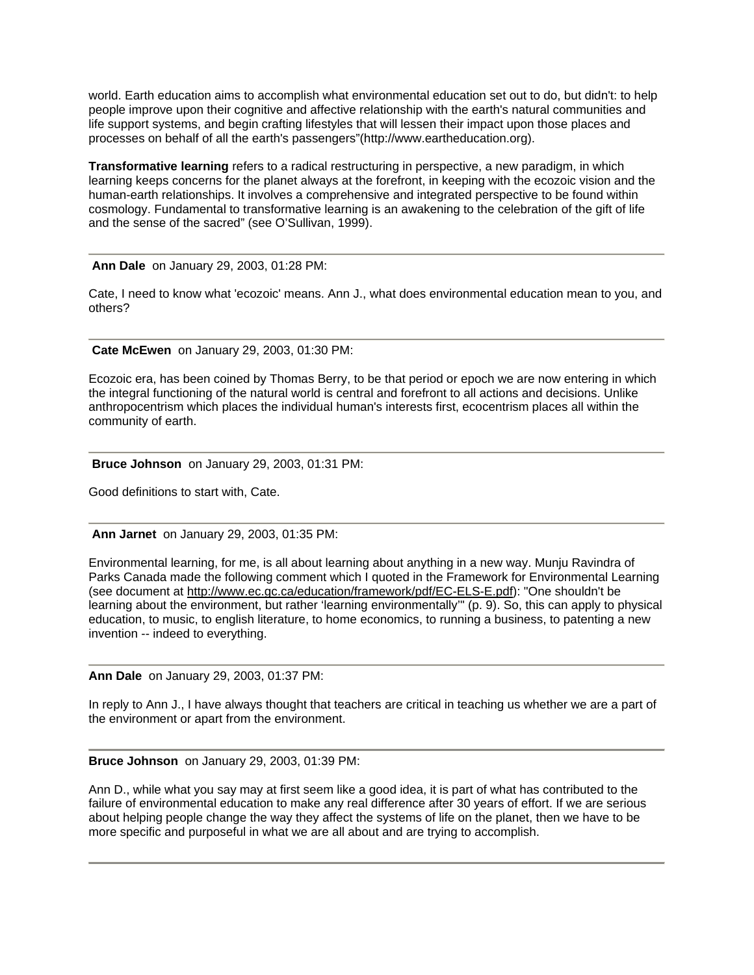world. Earth education aims to accomplish what environmental education set out to do, but didn't: to help people improve upon their cognitive and affective relationship with the earth's natural communities and life support systems, and begin crafting lifestyles that will lessen their impact upon those places and processes on behalf of all the earth's passengers"(http://www.eartheducation.org).

**Transformative learning** refers to a radical restructuring in perspective, a new paradigm, in which learning keeps concerns for the planet always at the forefront, in keeping with the ecozoic vision and the human-earth relationships. It involves a comprehensive and integrated perspective to be found within cosmology. Fundamental to transformative learning is an awakening to the celebration of the gift of life and the sense of the sacred" (see O'Sullivan, 1999).

**Ann Dale** on January 29, 2003, 01:28 PM:

Cate, I need to know what 'ecozoic' means. Ann J., what does environmental education mean to you, and others?

**Cate McEwen** on January 29, 2003, 01:30 PM:

Ecozoic era, has been coined by Thomas Berry, to be that period or epoch we are now entering in which the integral functioning of the natural world is central and forefront to all actions and decisions. Unlike anthropocentrism which places the individual human's interests first, ecocentrism places all within the community of earth.

**Bruce Johnson** on January 29, 2003, 01:31 PM:

Good definitions to start with, Cate.

**Ann Jarnet** on January 29, 2003, 01:35 PM:

Environmental learning, for me, is all about learning about anything in a new way. Munju Ravindra of Parks Canada made the following comment which I quoted in the Framework for Environmental Learning (see document at http://www.ec.gc.ca/education/framework/pdf/EC-ELS-E.pdf): "One shouldn't be learning about the environment, but rather 'learning environmentally'" (p. 9). So, this can apply to physical education, to music, to english literature, to home economics, to running a business, to patenting a new invention -- indeed to everything.

**Ann Dale** on January 29, 2003, 01:37 PM:

In reply to Ann J., I have always thought that teachers are critical in teaching us whether we are a part of the environment or apart from the environment.

**Bruce Johnson** on January 29, 2003, 01:39 PM:

Ann D., while what you say may at first seem like a good idea, it is part of what has contributed to the failure of environmental education to make any real difference after 30 years of effort. If we are serious about helping people change the way they affect the systems of life on the planet, then we have to be more specific and purposeful in what we are all about and are trying to accomplish.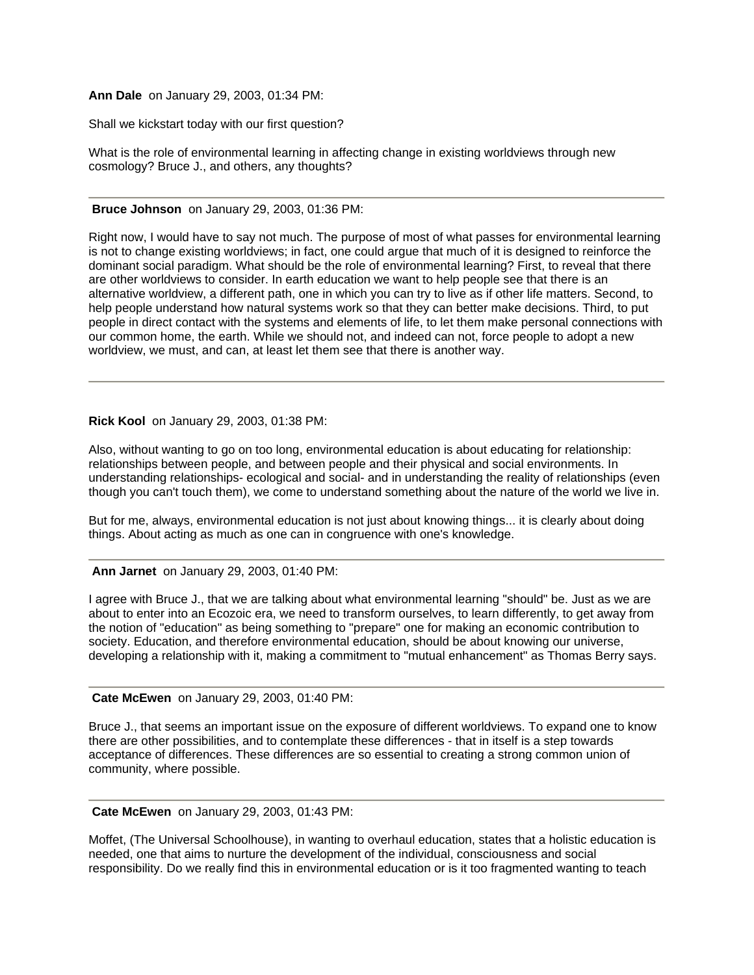**Ann Dale** on January 29, 2003, 01:34 PM:

Shall we kickstart today with our first question?

What is the role of environmental learning in affecting change in existing worldviews through new cosmology? Bruce J., and others, any thoughts?

### **Bruce Johnson** on January 29, 2003, 01:36 PM:

Right now, I would have to say not much. The purpose of most of what passes for environmental learning is not to change existing worldviews; in fact, one could argue that much of it is designed to reinforce the dominant social paradigm. What should be the role of environmental learning? First, to reveal that there are other worldviews to consider. In earth education we want to help people see that there is an alternative worldview, a different path, one in which you can try to live as if other life matters. Second, to help people understand how natural systems work so that they can better make decisions. Third, to put people in direct contact with the systems and elements of life, to let them make personal connections with our common home, the earth. While we should not, and indeed can not, force people to adopt a new worldview, we must, and can, at least let them see that there is another way.

### **Rick Kool** on January 29, 2003, 01:38 PM:

Also, without wanting to go on too long, environmental education is about educating for relationship: relationships between people, and between people and their physical and social environments. In understanding relationships- ecological and social- and in understanding the reality of relationships (even though you can't touch them), we come to understand something about the nature of the world we live in.

But for me, always, environmental education is not just about knowing things... it is clearly about doing things. About acting as much as one can in congruence with one's knowledge.

**Ann Jarnet** on January 29, 2003, 01:40 PM:

I agree with Bruce J., that we are talking about what environmental learning "should" be. Just as we are about to enter into an Ecozoic era, we need to transform ourselves, to learn differently, to get away from the notion of "education" as being something to "prepare" one for making an economic contribution to society. Education, and therefore environmental education, should be about knowing our universe, developing a relationship with it, making a commitment to "mutual enhancement" as Thomas Berry says.

**Cate McEwen** on January 29, 2003, 01:40 PM:

Bruce J., that seems an important issue on the exposure of different worldviews. To expand one to know there are other possibilities, and to contemplate these differences - that in itself is a step towards acceptance of differences. These differences are so essential to creating a strong common union of community, where possible.

# **Cate McEwen** on January 29, 2003, 01:43 PM:

Moffet, (The Universal Schoolhouse), in wanting to overhaul education, states that a holistic education is needed, one that aims to nurture the development of the individual, consciousness and social responsibility. Do we really find this in environmental education or is it too fragmented wanting to teach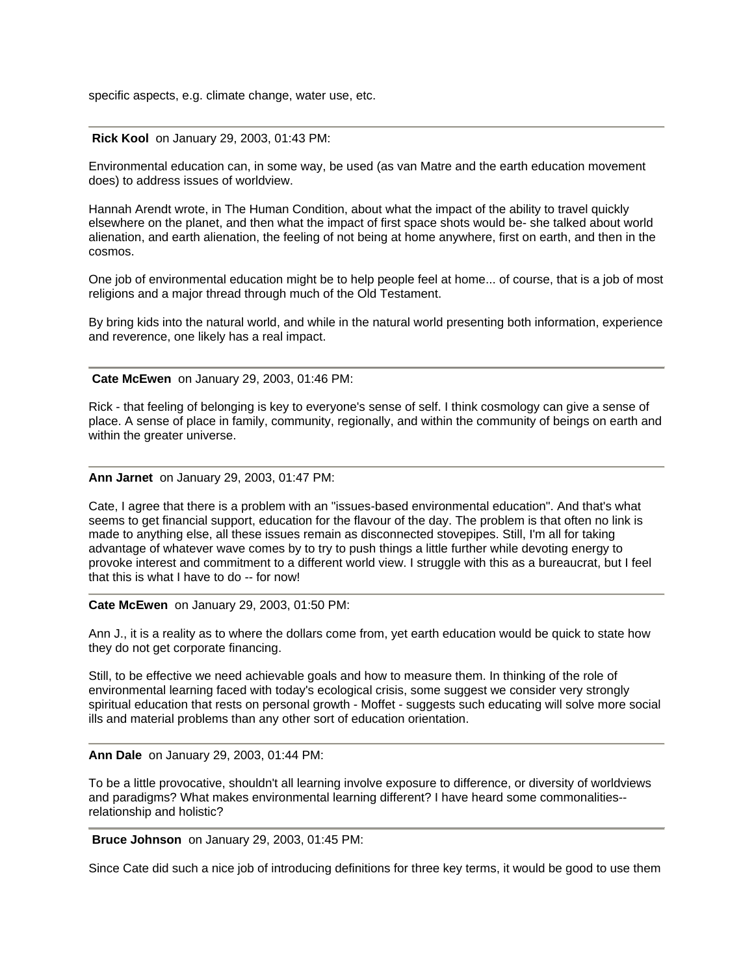specific aspects, e.g. climate change, water use, etc.

#### **Rick Kool** on January 29, 2003, 01:43 PM:

Environmental education can, in some way, be used (as van Matre and the earth education movement does) to address issues of worldview.

Hannah Arendt wrote, in The Human Condition, about what the impact of the ability to travel quickly elsewhere on the planet, and then what the impact of first space shots would be- she talked about world alienation, and earth alienation, the feeling of not being at home anywhere, first on earth, and then in the cosmos.

One job of environmental education might be to help people feel at home... of course, that is a job of most religions and a major thread through much of the Old Testament.

By bring kids into the natural world, and while in the natural world presenting both information, experience and reverence, one likely has a real impact.

**Cate McEwen** on January 29, 2003, 01:46 PM:

Rick - that feeling of belonging is key to everyone's sense of self. I think cosmology can give a sense of place. A sense of place in family, community, regionally, and within the community of beings on earth and within the greater universe.

#### **Ann Jarnet** on January 29, 2003, 01:47 PM:

Cate, I agree that there is a problem with an "issues-based environmental education". And that's what seems to get financial support, education for the flavour of the day. The problem is that often no link is made to anything else, all these issues remain as disconnected stovepipes. Still, I'm all for taking advantage of whatever wave comes by to try to push things a little further while devoting energy to provoke interest and commitment to a different world view. I struggle with this as a bureaucrat, but I feel that this is what I have to do -- for now!

**Cate McEwen** on January 29, 2003, 01:50 PM:

Ann J., it is a reality as to where the dollars come from, yet earth education would be quick to state how they do not get corporate financing.

Still, to be effective we need achievable goals and how to measure them. In thinking of the role of environmental learning faced with today's ecological crisis, some suggest we consider very strongly spiritual education that rests on personal growth - Moffet - suggests such educating will solve more social ills and material problems than any other sort of education orientation.

**Ann Dale** on January 29, 2003, 01:44 PM:

To be a little provocative, shouldn't all learning involve exposure to difference, or diversity of worldviews and paradigms? What makes environmental learning different? I have heard some commonalities- relationship and holistic?

**Bruce Johnson** on January 29, 2003, 01:45 PM:

Since Cate did such a nice job of introducing definitions for three key terms, it would be good to use them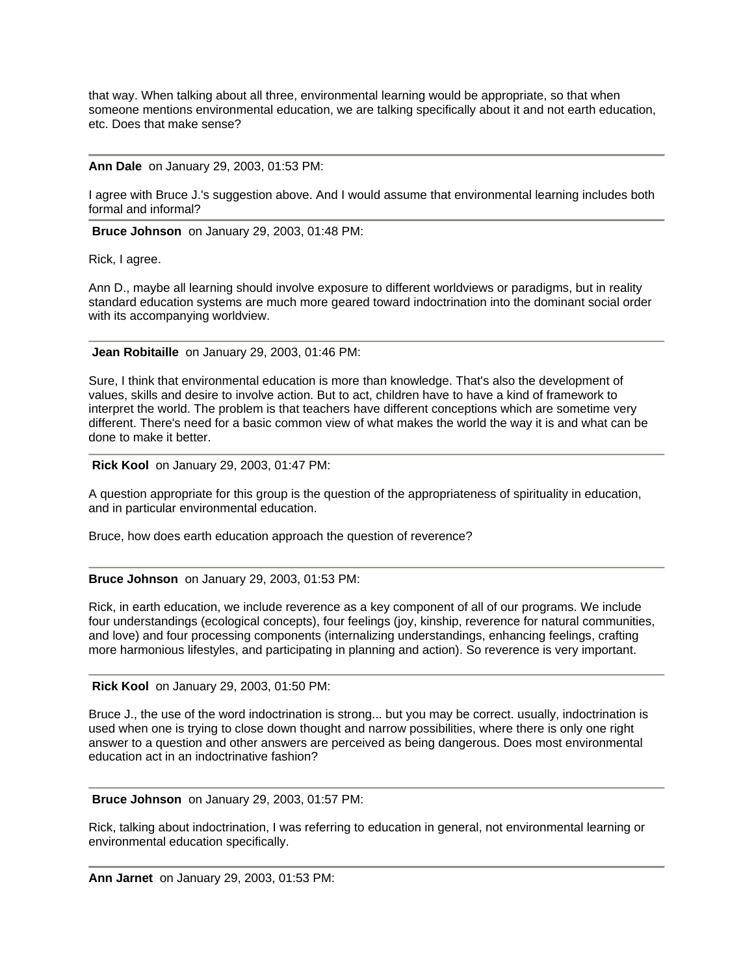that way. When talking about all three, environmental learning would be appropriate, so that when someone mentions environmental education, we are talking specifically about it and not earth education, etc. Does that make sense?

**Ann Dale** on January 29, 2003, 01:53 PM:

I agree with Bruce J.'s suggestion above. And I would assume that environmental learning includes both formal and informal?

**Bruce Johnson** on January 29, 2003, 01:48 PM:

Rick, I agree.

Ann D., maybe all learning should involve exposure to different worldviews or paradigms, but in reality standard education systems are much more geared toward indoctrination into the dominant social order with its accompanying worldview.

**Jean Robitaille** on January 29, 2003, 01:46 PM:

Sure, I think that environmental education is more than knowledge. That's also the development of values, skills and desire to involve action. But to act, children have to have a kind of framework to interpret the world. The problem is that teachers have different conceptions which are sometime very different. There's need for a basic common view of what makes the world the way it is and what can be done to make it better.

**Rick Kool** on January 29, 2003, 01:47 PM:

A question appropriate for this group is the question of the appropriateness of spirituality in education, and in particular environmental education.

Bruce, how does earth education approach the question of reverence?

**Bruce Johnson** on January 29, 2003, 01:53 PM:

Rick, in earth education, we include reverence as a key component of all of our programs. We include four understandings (ecological concepts), four feelings (joy, kinship, reverence for natural communities, and love) and four processing components (internalizing understandings, enhancing feelings, crafting more harmonious lifestyles, and participating in planning and action). So reverence is very important.

**Rick Kool** on January 29, 2003, 01:50 PM:

Bruce J., the use of the word indoctrination is strong... but you may be correct. usually, indoctrination is used when one is trying to close down thought and narrow possibilities, where there is only one right answer to a question and other answers are perceived as being dangerous. Does most environmental education act in an indoctrinative fashion?

**Bruce Johnson** on January 29, 2003, 01:57 PM:

Rick, talking about indoctrination, I was referring to education in general, not environmental learning or environmental education specifically.

**Ann Jarnet** on January 29, 2003, 01:53 PM: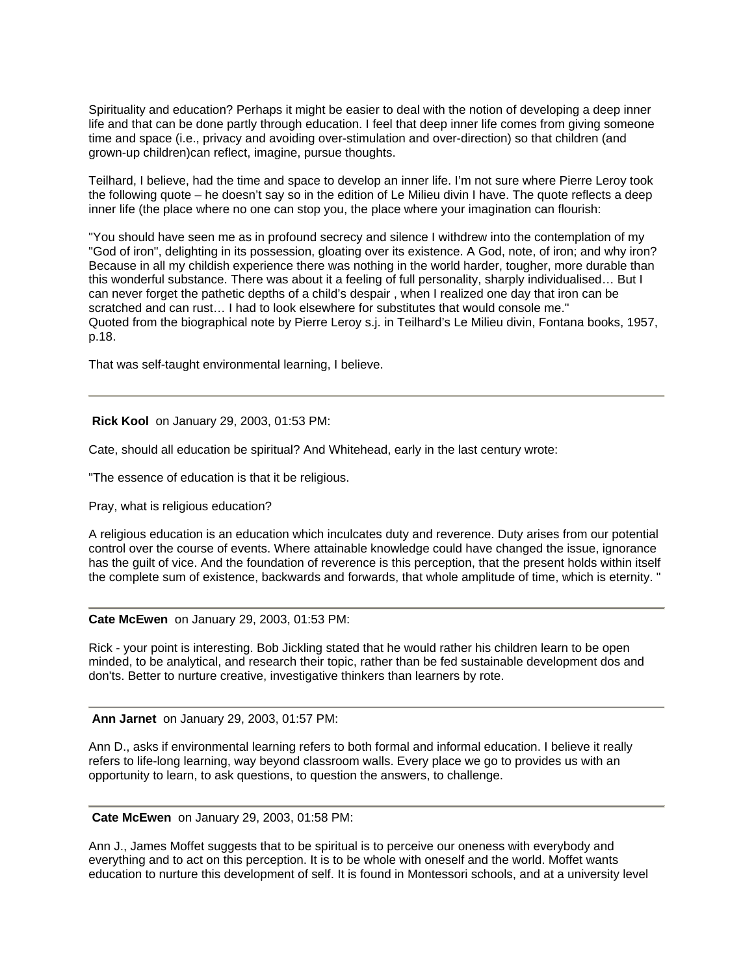Spirituality and education? Perhaps it might be easier to deal with the notion of developing a deep inner life and that can be done partly through education. I feel that deep inner life comes from giving someone time and space (i.e., privacy and avoiding over-stimulation and over-direction) so that children (and grown-up children)can reflect, imagine, pursue thoughts.

Teilhard, I believe, had the time and space to develop an inner life. I'm not sure where Pierre Leroy took the following quote – he doesn't say so in the edition of Le Milieu divin I have. The quote reflects a deep inner life (the place where no one can stop you, the place where your imagination can flourish:

"You should have seen me as in profound secrecy and silence I withdrew into the contemplation of my "God of iron", delighting in its possession, gloating over its existence. A God, note, of iron; and why iron? Because in all my childish experience there was nothing in the world harder, tougher, more durable than this wonderful substance. There was about it a feeling of full personality, sharply individualised… But I can never forget the pathetic depths of a child's despair , when I realized one day that iron can be scratched and can rust… I had to look elsewhere for substitutes that would console me." Quoted from the biographical note by Pierre Leroy s.j. in Teilhard's Le Milieu divin, Fontana books, 1957, p.18.

That was self-taught environmental learning, I believe.

**Rick Kool** on January 29, 2003, 01:53 PM:

Cate, should all education be spiritual? And Whitehead, early in the last century wrote:

"The essence of education is that it be religious.

Pray, what is religious education?

A religious education is an education which inculcates duty and reverence. Duty arises from our potential control over the course of events. Where attainable knowledge could have changed the issue, ignorance has the guilt of vice. And the foundation of reverence is this perception, that the present holds within itself the complete sum of existence, backwards and forwards, that whole amplitude of time, which is eternity. "

**Cate McEwen** on January 29, 2003, 01:53 PM:

Rick - your point is interesting. Bob Jickling stated that he would rather his children learn to be open minded, to be analytical, and research their topic, rather than be fed sustainable development dos and don'ts. Better to nurture creative, investigative thinkers than learners by rote.

**Ann Jarnet** on January 29, 2003, 01:57 PM:

Ann D., asks if environmental learning refers to both formal and informal education. I believe it really refers to life-long learning, way beyond classroom walls. Every place we go to provides us with an opportunity to learn, to ask questions, to question the answers, to challenge.

**Cate McEwen** on January 29, 2003, 01:58 PM:

Ann J., James Moffet suggests that to be spiritual is to perceive our oneness with everybody and everything and to act on this perception. It is to be whole with oneself and the world. Moffet wants education to nurture this development of self. It is found in Montessori schools, and at a university level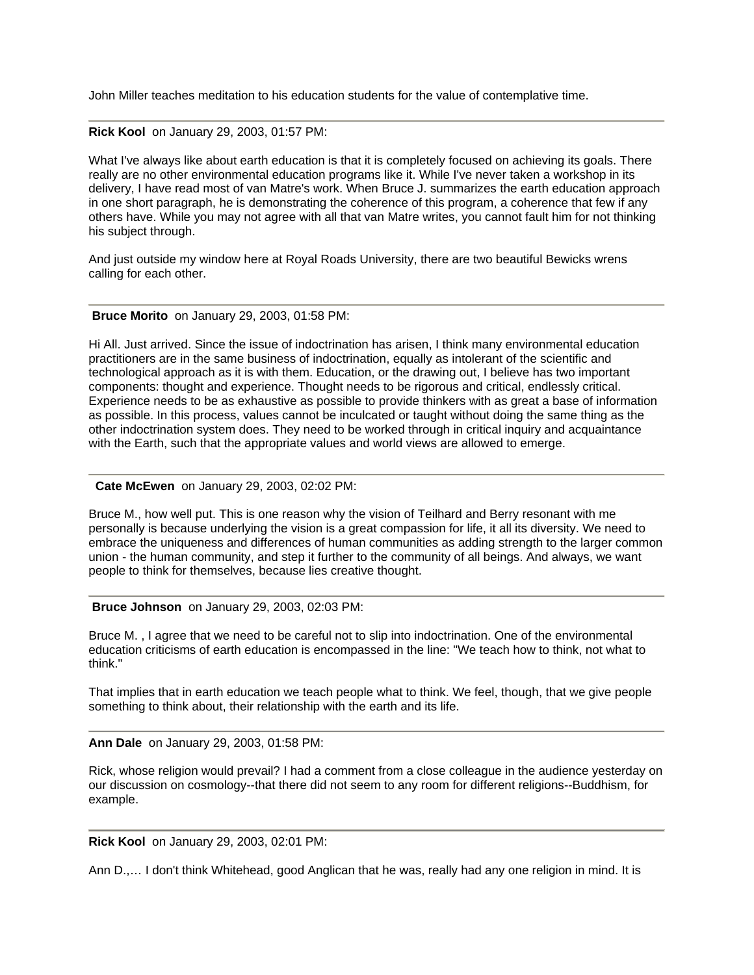John Miller teaches meditation to his education students for the value of contemplative time.

**Rick Kool** on January 29, 2003, 01:57 PM:

What I've always like about earth education is that it is completely focused on achieving its goals. There really are no other environmental education programs like it. While I've never taken a workshop in its delivery, I have read most of van Matre's work. When Bruce J. summarizes the earth education approach in one short paragraph, he is demonstrating the coherence of this program, a coherence that few if any others have. While you may not agree with all that van Matre writes, you cannot fault him for not thinking his subject through.

And just outside my window here at Royal Roads University, there are two beautiful Bewicks wrens calling for each other.

# **Bruce Morito** on January 29, 2003, 01:58 PM:

Hi All. Just arrived. Since the issue of indoctrination has arisen, I think many environmental education practitioners are in the same business of indoctrination, equally as intolerant of the scientific and technological approach as it is with them. Education, or the drawing out, I believe has two important components: thought and experience. Thought needs to be rigorous and critical, endlessly critical. Experience needs to be as exhaustive as possible to provide thinkers with as great a base of information as possible. In this process, values cannot be inculcated or taught without doing the same thing as the other indoctrination system does. They need to be worked through in critical inquiry and acquaintance with the Earth, such that the appropriate values and world views are allowed to emerge.

# **Cate McEwen** on January 29, 2003, 02:02 PM:

Bruce M., how well put. This is one reason why the vision of Teilhard and Berry resonant with me personally is because underlying the vision is a great compassion for life, it all its diversity. We need to embrace the uniqueness and differences of human communities as adding strength to the larger common union - the human community, and step it further to the community of all beings. And always, we want people to think for themselves, because lies creative thought.

 **Bruce Johnson** on January 29, 2003, 02:03 PM:

Bruce M. , I agree that we need to be careful not to slip into indoctrination. One of the environmental education criticisms of earth education is encompassed in the line: "We teach how to think, not what to think."

That implies that in earth education we teach people what to think. We feel, though, that we give people something to think about, their relationship with the earth and its life.

**Ann Dale** on January 29, 2003, 01:58 PM:

Rick, whose religion would prevail? I had a comment from a close colleague in the audience yesterday on our discussion on cosmology--that there did not seem to any room for different religions--Buddhism, for example.

**Rick Kool** on January 29, 2003, 02:01 PM:

Ann D.,… I don't think Whitehead, good Anglican that he was, really had any one religion in mind. It is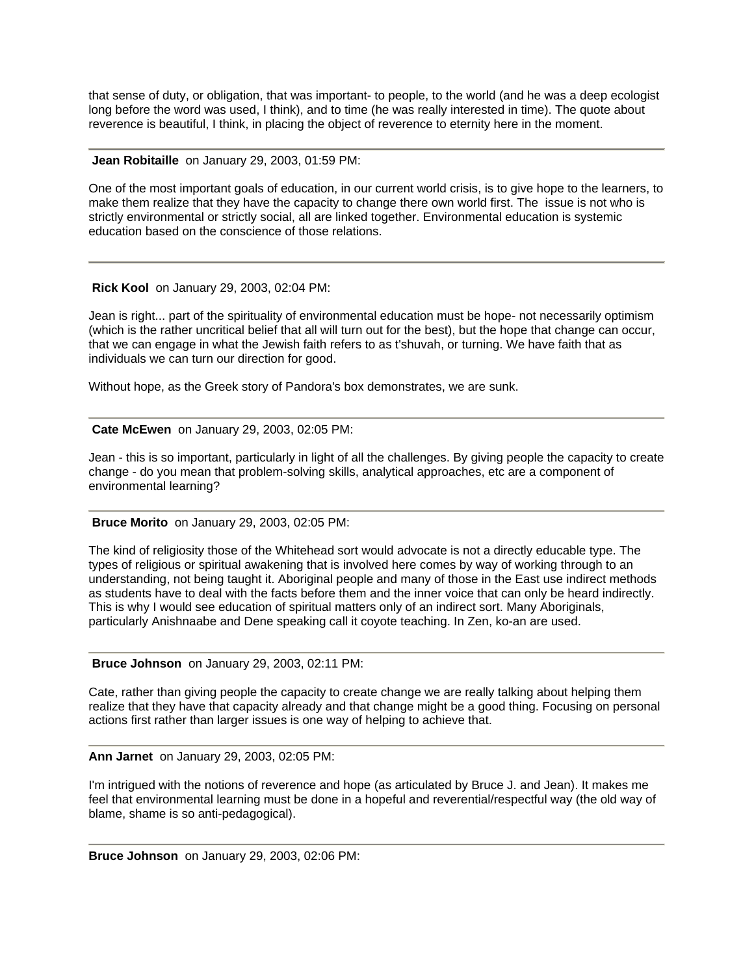that sense of duty, or obligation, that was important- to people, to the world (and he was a deep ecologist long before the word was used, I think), and to time (he was really interested in time). The quote about reverence is beautiful, I think, in placing the object of reverence to eternity here in the moment.

**Jean Robitaille** on January 29, 2003, 01:59 PM:

One of the most important goals of education, in our current world crisis, is to give hope to the learners, to make them realize that they have the capacity to change there own world first. The issue is not who is strictly environmental or strictly social, all are linked together. Environmental education is systemic education based on the conscience of those relations.

**Rick Kool** on January 29, 2003, 02:04 PM:

Jean is right... part of the spirituality of environmental education must be hope- not necessarily optimism (which is the rather uncritical belief that all will turn out for the best), but the hope that change can occur, that we can engage in what the Jewish faith refers to as t'shuvah, or turning. We have faith that as individuals we can turn our direction for good.

Without hope, as the Greek story of Pandora's box demonstrates, we are sunk.

**Cate McEwen** on January 29, 2003, 02:05 PM:

Jean - this is so important, particularly in light of all the challenges. By giving people the capacity to create change - do you mean that problem-solving skills, analytical approaches, etc are a component of environmental learning?

 **Bruce Morito** on January 29, 2003, 02:05 PM:

The kind of religiosity those of the Whitehead sort would advocate is not a directly educable type. The types of religious or spiritual awakening that is involved here comes by way of working through to an understanding, not being taught it. Aboriginal people and many of those in the East use indirect methods as students have to deal with the facts before them and the inner voice that can only be heard indirectly. This is why I would see education of spiritual matters only of an indirect sort. Many Aboriginals, particularly Anishnaabe and Dene speaking call it coyote teaching. In Zen, ko-an are used.

**Bruce Johnson** on January 29, 2003, 02:11 PM:

Cate, rather than giving people the capacity to create change we are really talking about helping them realize that they have that capacity already and that change might be a good thing. Focusing on personal actions first rather than larger issues is one way of helping to achieve that.

**Ann Jarnet** on January 29, 2003, 02:05 PM:

I'm intrigued with the notions of reverence and hope (as articulated by Bruce J. and Jean). It makes me feel that environmental learning must be done in a hopeful and reverential/respectful way (the old way of blame, shame is so anti-pedagogical).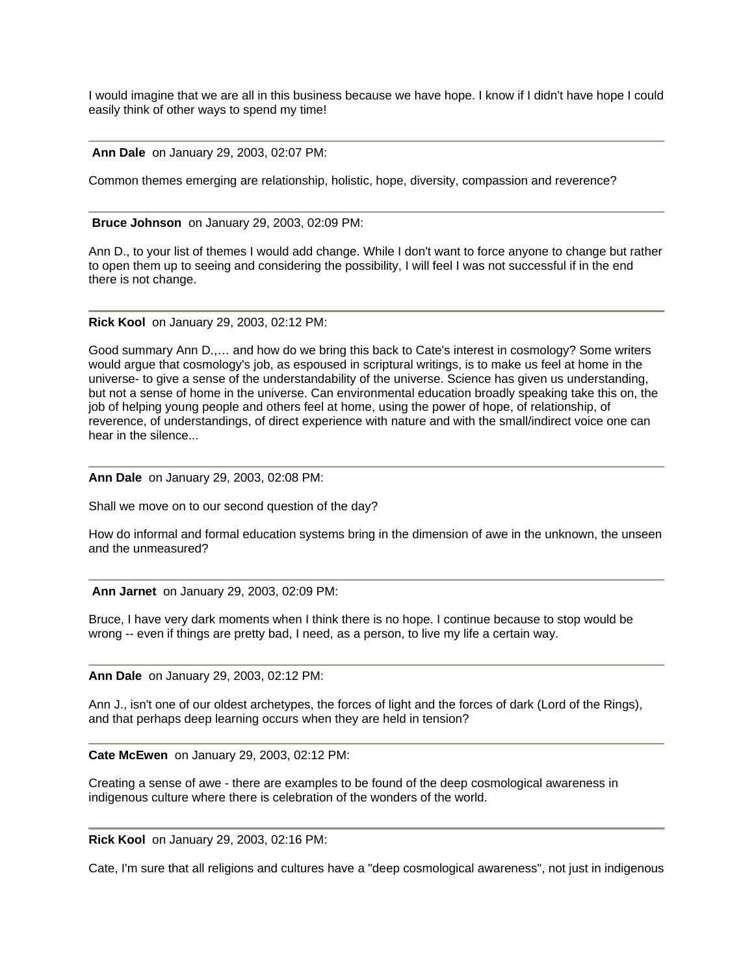I would imagine that we are all in this business because we have hope. I know if I didn't have hope I could easily think of other ways to spend my time!

**Ann Dale** on January 29, 2003, 02:07 PM:

Common themes emerging are relationship, holistic, hope, diversity, compassion and reverence?

**Bruce Johnson** on January 29, 2003, 02:09 PM:

Ann D., to your list of themes I would add change. While I don't want to force anyone to change but rather to open them up to seeing and considering the possibility, I will feel I was not successful if in the end there is not change.

**Rick Kool** on January 29, 2003, 02:12 PM:

Good summary Ann D.,… and how do we bring this back to Cate's interest in cosmology? Some writers would argue that cosmology's job, as espoused in scriptural writings, is to make us feel at home in the universe- to give a sense of the understandability of the universe. Science has given us understanding, but not a sense of home in the universe. Can environmental education broadly speaking take this on, the job of helping young people and others feel at home, using the power of hope, of relationship, of reverence, of understandings, of direct experience with nature and with the small/indirect voice one can hear in the silence...

**Ann Dale** on January 29, 2003, 02:08 PM:

Shall we move on to our second question of the day?

How do informal and formal education systems bring in the dimension of awe in the unknown, the unseen and the unmeasured?

**Ann Jarnet** on January 29, 2003, 02:09 PM:

Bruce, I have very dark moments when I think there is no hope. I continue because to stop would be wrong -- even if things are pretty bad, I need, as a person, to live my life a certain way.

**Ann Dale** on January 29, 2003, 02:12 PM:

Ann J., isn't one of our oldest archetypes, the forces of light and the forces of dark (Lord of the Rings), and that perhaps deep learning occurs when they are held in tension?

**Cate McEwen** on January 29, 2003, 02:12 PM:

Creating a sense of awe - there are examples to be found of the deep cosmological awareness in indigenous culture where there is celebration of the wonders of the world.

**Rick Kool** on January 29, 2003, 02:16 PM:

Cate, I'm sure that all religions and cultures have a "deep cosmological awareness", not just in indigenous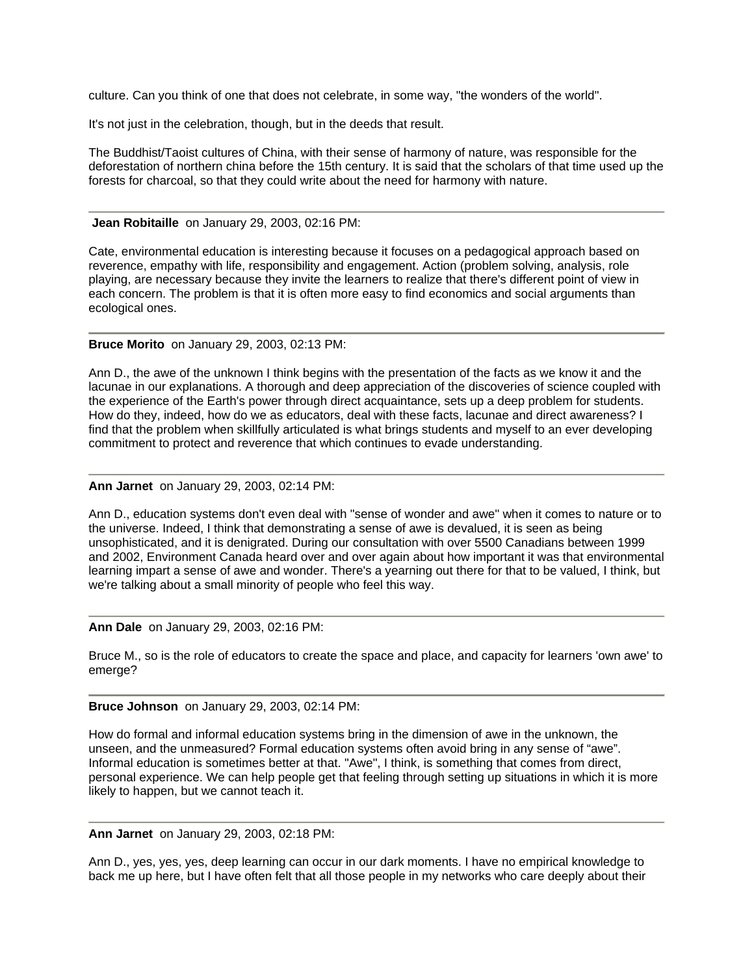culture. Can you think of one that does not celebrate, in some way, "the wonders of the world".

It's not just in the celebration, though, but in the deeds that result.

The Buddhist/Taoist cultures of China, with their sense of harmony of nature, was responsible for the deforestation of northern china before the 15th century. It is said that the scholars of that time used up the forests for charcoal, so that they could write about the need for harmony with nature.

### **Jean Robitaille** on January 29, 2003, 02:16 PM:

Cate, environmental education is interesting because it focuses on a pedagogical approach based on reverence, empathy with life, responsibility and engagement. Action (problem solving, analysis, role playing, are necessary because they invite the learners to realize that there's different point of view in each concern. The problem is that it is often more easy to find economics and social arguments than ecological ones.

### **Bruce Morito** on January 29, 2003, 02:13 PM:

Ann D., the awe of the unknown I think begins with the presentation of the facts as we know it and the lacunae in our explanations. A thorough and deep appreciation of the discoveries of science coupled with the experience of the Earth's power through direct acquaintance, sets up a deep problem for students. How do they, indeed, how do we as educators, deal with these facts, lacunae and direct awareness? I find that the problem when skillfully articulated is what brings students and myself to an ever developing commitment to protect and reverence that which continues to evade understanding.

#### **Ann Jarnet** on January 29, 2003, 02:14 PM:

Ann D., education systems don't even deal with "sense of wonder and awe" when it comes to nature or to the universe. Indeed, I think that demonstrating a sense of awe is devalued, it is seen as being unsophisticated, and it is denigrated. During our consultation with over 5500 Canadians between 1999 and 2002, Environment Canada heard over and over again about how important it was that environmental learning impart a sense of awe and wonder. There's a yearning out there for that to be valued, I think, but we're talking about a small minority of people who feel this way.

**Ann Dale** on January 29, 2003, 02:16 PM:

Bruce M., so is the role of educators to create the space and place, and capacity for learners 'own awe' to emerge?

### **Bruce Johnson** on January 29, 2003, 02:14 PM:

How do formal and informal education systems bring in the dimension of awe in the unknown, the unseen, and the unmeasured? Formal education systems often avoid bring in any sense of "awe". Informal education is sometimes better at that. "Awe", I think, is something that comes from direct, personal experience. We can help people get that feeling through setting up situations in which it is more likely to happen, but we cannot teach it.

**Ann Jarnet** on January 29, 2003, 02:18 PM:

Ann D., yes, yes, yes, deep learning can occur in our dark moments. I have no empirical knowledge to back me up here, but I have often felt that all those people in my networks who care deeply about their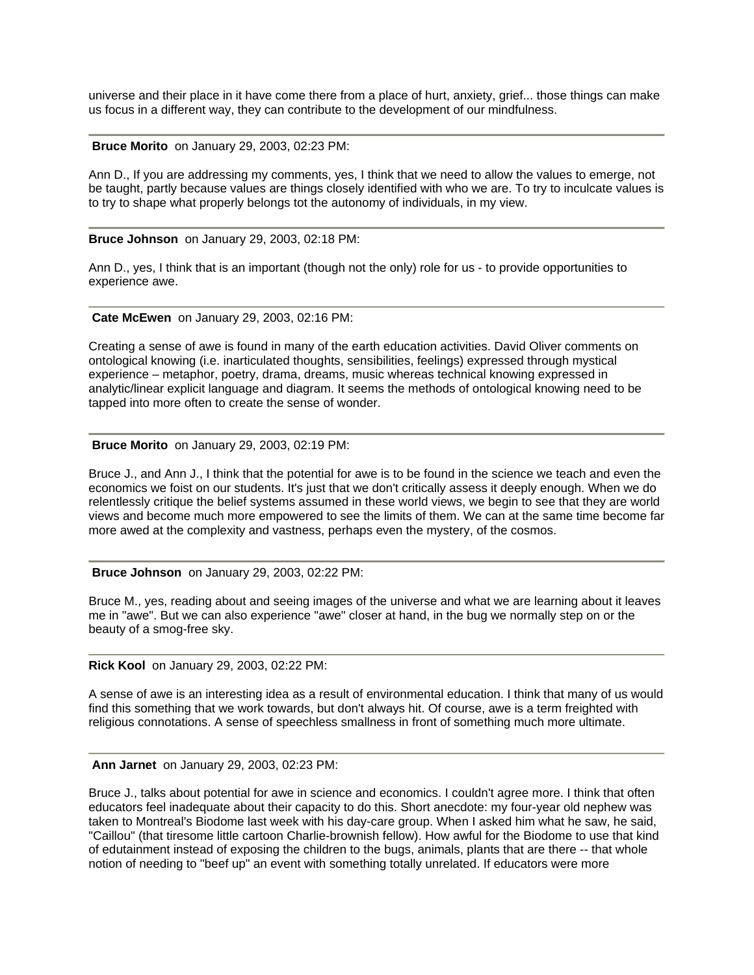universe and their place in it have come there from a place of hurt, anxiety, grief... those things can make us focus in a different way, they can contribute to the development of our mindfulness.

#### **Bruce Morito** on January 29, 2003, 02:23 PM:

Ann D., If you are addressing my comments, yes, I think that we need to allow the values to emerge, not be taught, partly because values are things closely identified with who we are. To try to inculcate values is to try to shape what properly belongs tot the autonomy of individuals, in my view.

**Bruce Johnson** on January 29, 2003, 02:18 PM:

Ann D., yes, I think that is an important (though not the only) role for us - to provide opportunities to experience awe.

**Cate McEwen** on January 29, 2003, 02:16 PM:

Creating a sense of awe is found in many of the earth education activities. David Oliver comments on ontological knowing (i.e. inarticulated thoughts, sensibilities, feelings) expressed through mystical experience – metaphor, poetry, drama, dreams, music whereas technical knowing expressed in analytic/linear explicit language and diagram. It seems the methods of ontological knowing need to be tapped into more often to create the sense of wonder.

### **Bruce Morito** on January 29, 2003, 02:19 PM:

Bruce J., and Ann J., I think that the potential for awe is to be found in the science we teach and even the economics we foist on our students. It's just that we don't critically assess it deeply enough. When we do relentlessly critique the belief systems assumed in these world views, we begin to see that they are world views and become much more empowered to see the limits of them. We can at the same time become far more awed at the complexity and vastness, perhaps even the mystery, of the cosmos.

#### **Bruce Johnson** on January 29, 2003, 02:22 PM:

Bruce M., yes, reading about and seeing images of the universe and what we are learning about it leaves me in "awe". But we can also experience "awe" closer at hand, in the bug we normally step on or the beauty of a smog-free sky.

#### **Rick Kool** on January 29, 2003, 02:22 PM:

A sense of awe is an interesting idea as a result of environmental education. I think that many of us would find this something that we work towards, but don't always hit. Of course, awe is a term freighted with religious connotations. A sense of speechless smallness in front of something much more ultimate.

#### **Ann Jarnet** on January 29, 2003, 02:23 PM:

Bruce J., talks about potential for awe in science and economics. I couldn't agree more. I think that often educators feel inadequate about their capacity to do this. Short anecdote: my four-year old nephew was taken to Montreal's Biodome last week with his day-care group. When I asked him what he saw, he said, "Caillou" (that tiresome little cartoon Charlie-brownish fellow). How awful for the Biodome to use that kind of edutainment instead of exposing the children to the bugs, animals, plants that are there -- that whole notion of needing to "beef up" an event with something totally unrelated. If educators were more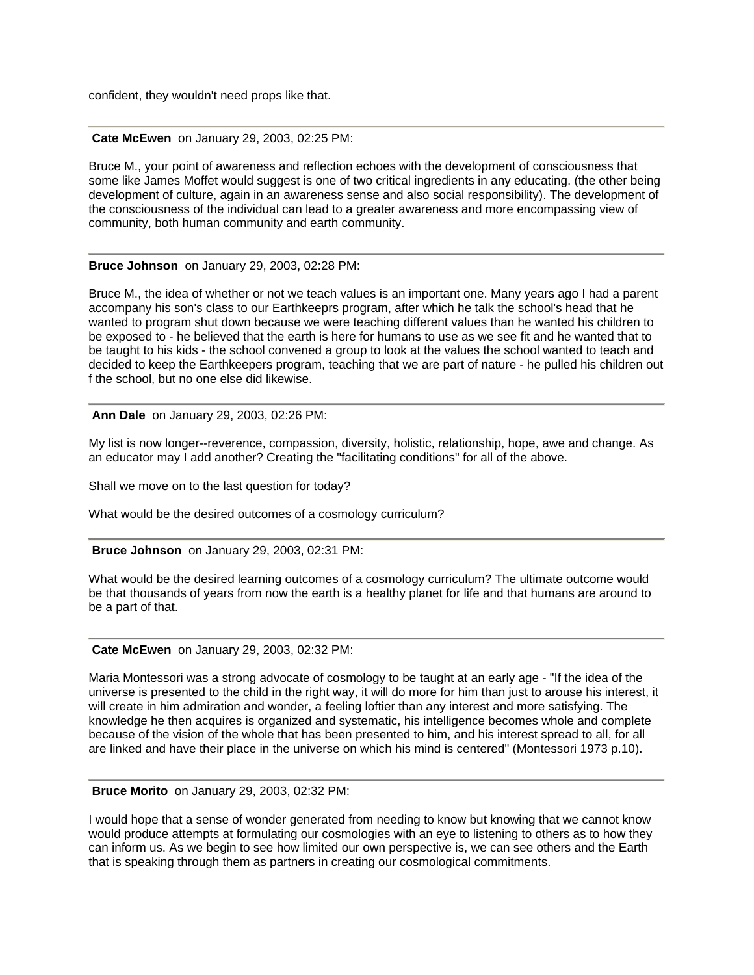confident, they wouldn't need props like that.

#### **Cate McEwen** on January 29, 2003, 02:25 PM:

Bruce M., your point of awareness and reflection echoes with the development of consciousness that some like James Moffet would suggest is one of two critical ingredients in any educating. (the other being development of culture, again in an awareness sense and also social responsibility). The development of the consciousness of the individual can lead to a greater awareness and more encompassing view of community, both human community and earth community.

### **Bruce Johnson** on January 29, 2003, 02:28 PM:

Bruce M., the idea of whether or not we teach values is an important one. Many years ago I had a parent accompany his son's class to our Earthkeeprs program, after which he talk the school's head that he wanted to program shut down because we were teaching different values than he wanted his children to be exposed to - he believed that the earth is here for humans to use as we see fit and he wanted that to be taught to his kids - the school convened a group to look at the values the school wanted to teach and decided to keep the Earthkeepers program, teaching that we are part of nature - he pulled his children out f the school, but no one else did likewise.

**Ann Dale** on January 29, 2003, 02:26 PM:

My list is now longer--reverence, compassion, diversity, holistic, relationship, hope, awe and change. As an educator may I add another? Creating the "facilitating conditions" for all of the above.

Shall we move on to the last question for today?

What would be the desired outcomes of a cosmology curriculum?

**Bruce Johnson** on January 29, 2003, 02:31 PM:

What would be the desired learning outcomes of a cosmology curriculum? The ultimate outcome would be that thousands of years from now the earth is a healthy planet for life and that humans are around to be a part of that.

**Cate McEwen** on January 29, 2003, 02:32 PM:

Maria Montessori was a strong advocate of cosmology to be taught at an early age - "If the idea of the universe is presented to the child in the right way, it will do more for him than just to arouse his interest, it will create in him admiration and wonder, a feeling loftier than any interest and more satisfying. The knowledge he then acquires is organized and systematic, his intelligence becomes whole and complete because of the vision of the whole that has been presented to him, and his interest spread to all, for all are linked and have their place in the universe on which his mind is centered" (Montessori 1973 p.10).

# **Bruce Morito** on January 29, 2003, 02:32 PM:

I would hope that a sense of wonder generated from needing to know but knowing that we cannot know would produce attempts at formulating our cosmologies with an eye to listening to others as to how they can inform us. As we begin to see how limited our own perspective is, we can see others and the Earth that is speaking through them as partners in creating our cosmological commitments.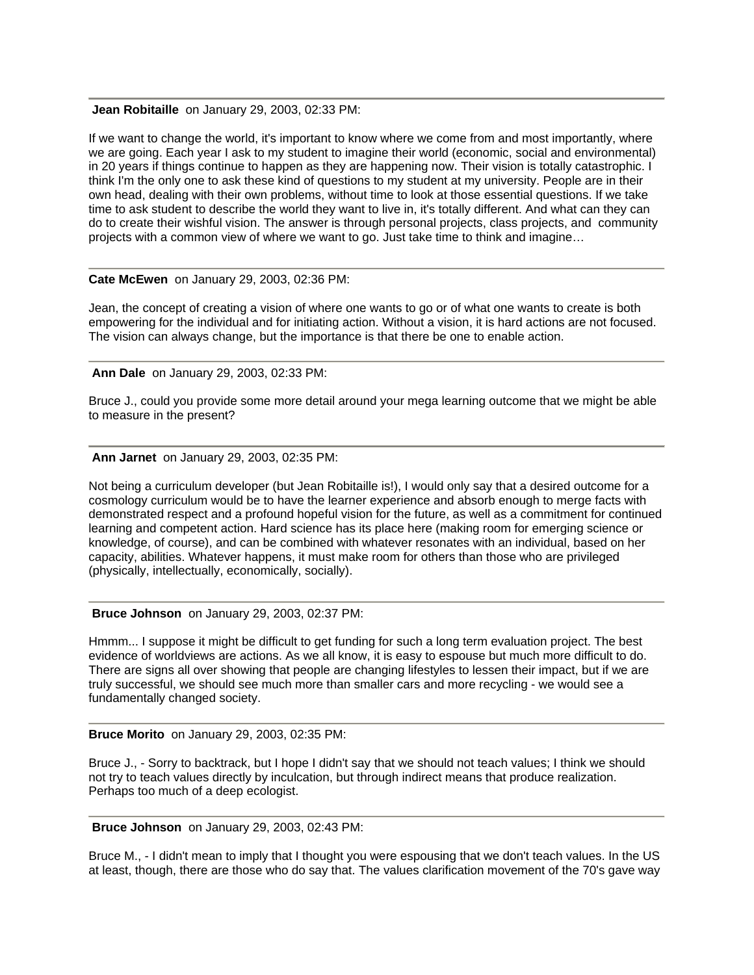#### **Jean Robitaille** on January 29, 2003, 02:33 PM:

If we want to change the world, it's important to know where we come from and most importantly, where we are going. Each year I ask to my student to imagine their world (economic, social and environmental) in 20 years if things continue to happen as they are happening now. Their vision is totally catastrophic. I think I'm the only one to ask these kind of questions to my student at my university. People are in their own head, dealing with their own problems, without time to look at those essential questions. If we take time to ask student to describe the world they want to live in, it's totally different. And what can they can do to create their wishful vision. The answer is through personal projects, class projects, and community projects with a common view of where we want to go. Just take time to think and imagine…

### **Cate McEwen** on January 29, 2003, 02:36 PM:

Jean, the concept of creating a vision of where one wants to go or of what one wants to create is both empowering for the individual and for initiating action. Without a vision, it is hard actions are not focused. The vision can always change, but the importance is that there be one to enable action.

# **Ann Dale** on January 29, 2003, 02:33 PM:

Bruce J., could you provide some more detail around your mega learning outcome that we might be able to measure in the present?

### **Ann Jarnet** on January 29, 2003, 02:35 PM:

Not being a curriculum developer (but Jean Robitaille is!), I would only say that a desired outcome for a cosmology curriculum would be to have the learner experience and absorb enough to merge facts with demonstrated respect and a profound hopeful vision for the future, as well as a commitment for continued learning and competent action. Hard science has its place here (making room for emerging science or knowledge, of course), and can be combined with whatever resonates with an individual, based on her capacity, abilities. Whatever happens, it must make room for others than those who are privileged (physically, intellectually, economically, socially).

# **Bruce Johnson** on January 29, 2003, 02:37 PM:

Hmmm... I suppose it might be difficult to get funding for such a long term evaluation project. The best evidence of worldviews are actions. As we all know, it is easy to espouse but much more difficult to do. There are signs all over showing that people are changing lifestyles to lessen their impact, but if we are truly successful, we should see much more than smaller cars and more recycling - we would see a fundamentally changed society.

#### **Bruce Morito** on January 29, 2003, 02:35 PM:

Bruce J., - Sorry to backtrack, but I hope I didn't say that we should not teach values; I think we should not try to teach values directly by inculcation, but through indirect means that produce realization. Perhaps too much of a deep ecologist.

#### **Bruce Johnson** on January 29, 2003, 02:43 PM:

Bruce M., - I didn't mean to imply that I thought you were espousing that we don't teach values. In the US at least, though, there are those who do say that. The values clarification movement of the 70's gave way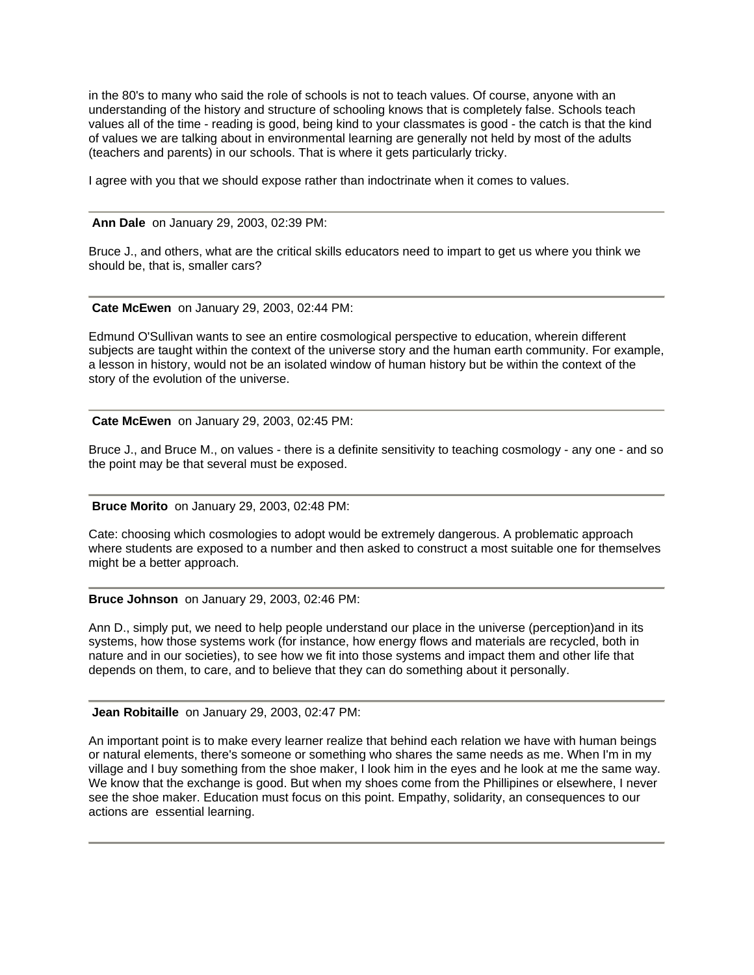in the 80's to many who said the role of schools is not to teach values. Of course, anyone with an understanding of the history and structure of schooling knows that is completely false. Schools teach values all of the time - reading is good, being kind to your classmates is good - the catch is that the kind of values we are talking about in environmental learning are generally not held by most of the adults (teachers and parents) in our schools. That is where it gets particularly tricky.

I agree with you that we should expose rather than indoctrinate when it comes to values.

### **Ann Dale** on January 29, 2003, 02:39 PM:

Bruce J., and others, what are the critical skills educators need to impart to get us where you think we should be, that is, smaller cars?

**Cate McEwen** on January 29, 2003, 02:44 PM:

Edmund O'Sullivan wants to see an entire cosmological perspective to education, wherein different subjects are taught within the context of the universe story and the human earth community. For example, a lesson in history, would not be an isolated window of human history but be within the context of the story of the evolution of the universe.

**Cate McEwen** on January 29, 2003, 02:45 PM:

Bruce J., and Bruce M., on values - there is a definite sensitivity to teaching cosmology - any one - and so the point may be that several must be exposed.

# **Bruce Morito** on January 29, 2003, 02:48 PM:

Cate: choosing which cosmologies to adopt would be extremely dangerous. A problematic approach where students are exposed to a number and then asked to construct a most suitable one for themselves might be a better approach.

**Bruce Johnson** on January 29, 2003, 02:46 PM:

Ann D., simply put, we need to help people understand our place in the universe (perception)and in its systems, how those systems work (for instance, how energy flows and materials are recycled, both in nature and in our societies), to see how we fit into those systems and impact them and other life that depends on them, to care, and to believe that they can do something about it personally.

**Jean Robitaille** on January 29, 2003, 02:47 PM:

An important point is to make every learner realize that behind each relation we have with human beings or natural elements, there's someone or something who shares the same needs as me. When I'm in my village and I buy something from the shoe maker, I look him in the eyes and he look at me the same way. We know that the exchange is good. But when my shoes come from the Phillipines or elsewhere, I never see the shoe maker. Education must focus on this point. Empathy, solidarity, an consequences to our actions are essential learning.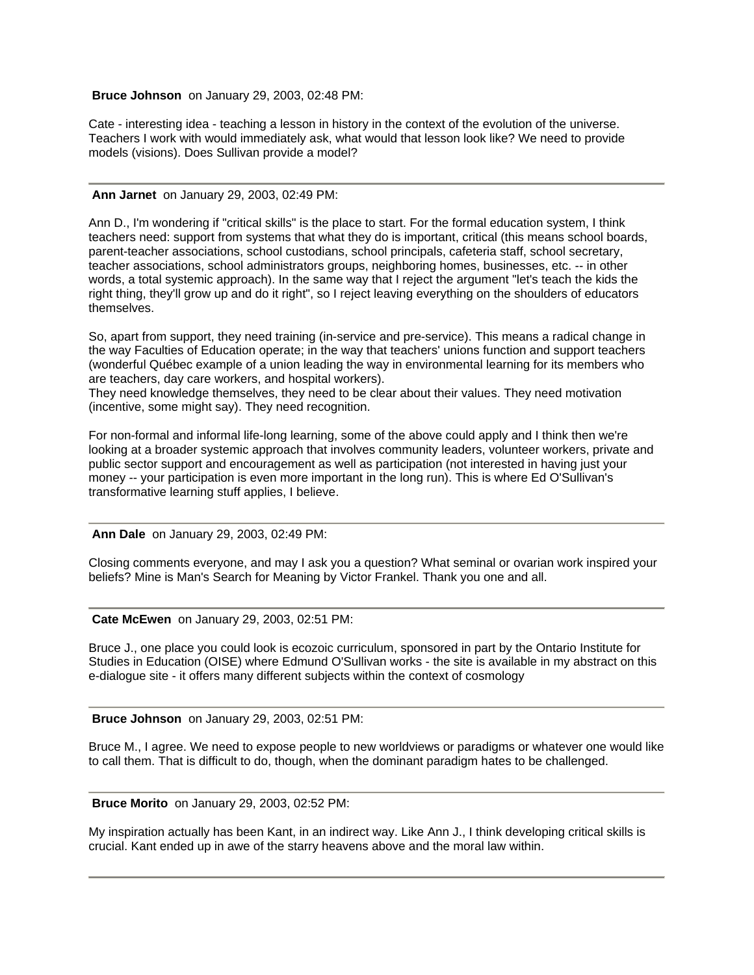### **Bruce Johnson** on January 29, 2003, 02:48 PM:

Cate - interesting idea - teaching a lesson in history in the context of the evolution of the universe. Teachers I work with would immediately ask, what would that lesson look like? We need to provide models (visions). Does Sullivan provide a model?

#### **Ann Jarnet** on January 29, 2003, 02:49 PM:

Ann D., I'm wondering if "critical skills" is the place to start. For the formal education system, I think teachers need: support from systems that what they do is important, critical (this means school boards, parent-teacher associations, school custodians, school principals, cafeteria staff, school secretary, teacher associations, school administrators groups, neighboring homes, businesses, etc. -- in other words, a total systemic approach). In the same way that I reject the argument "let's teach the kids the right thing, they'll grow up and do it right", so I reject leaving everything on the shoulders of educators themselves.

So, apart from support, they need training (in-service and pre-service). This means a radical change in the way Faculties of Education operate; in the way that teachers' unions function and support teachers (wonderful Québec example of a union leading the way in environmental learning for its members who are teachers, day care workers, and hospital workers).

They need knowledge themselves, they need to be clear about their values. They need motivation (incentive, some might say). They need recognition.

For non-formal and informal life-long learning, some of the above could apply and I think then we're looking at a broader systemic approach that involves community leaders, volunteer workers, private and public sector support and encouragement as well as participation (not interested in having just your money -- your participation is even more important in the long run). This is where Ed O'Sullivan's transformative learning stuff applies, I believe.

**Ann Dale** on January 29, 2003, 02:49 PM:

Closing comments everyone, and may I ask you a question? What seminal or ovarian work inspired your beliefs? Mine is Man's Search for Meaning by Victor Frankel. Thank you one and all.

**Cate McEwen** on January 29, 2003, 02:51 PM:

Bruce J., one place you could look is ecozoic curriculum, sponsored in part by the Ontario Institute for Studies in Education (OISE) where Edmund O'Sullivan works - the site is available in my abstract on this e-dialogue site - it offers many different subjects within the context of cosmology

**Bruce Johnson** on January 29, 2003, 02:51 PM:

Bruce M., I agree. We need to expose people to new worldviews or paradigms or whatever one would like to call them. That is difficult to do, though, when the dominant paradigm hates to be challenged.

### **Bruce Morito** on January 29, 2003, 02:52 PM:

My inspiration actually has been Kant, in an indirect way. Like Ann J., I think developing critical skills is crucial. Kant ended up in awe of the starry heavens above and the moral law within.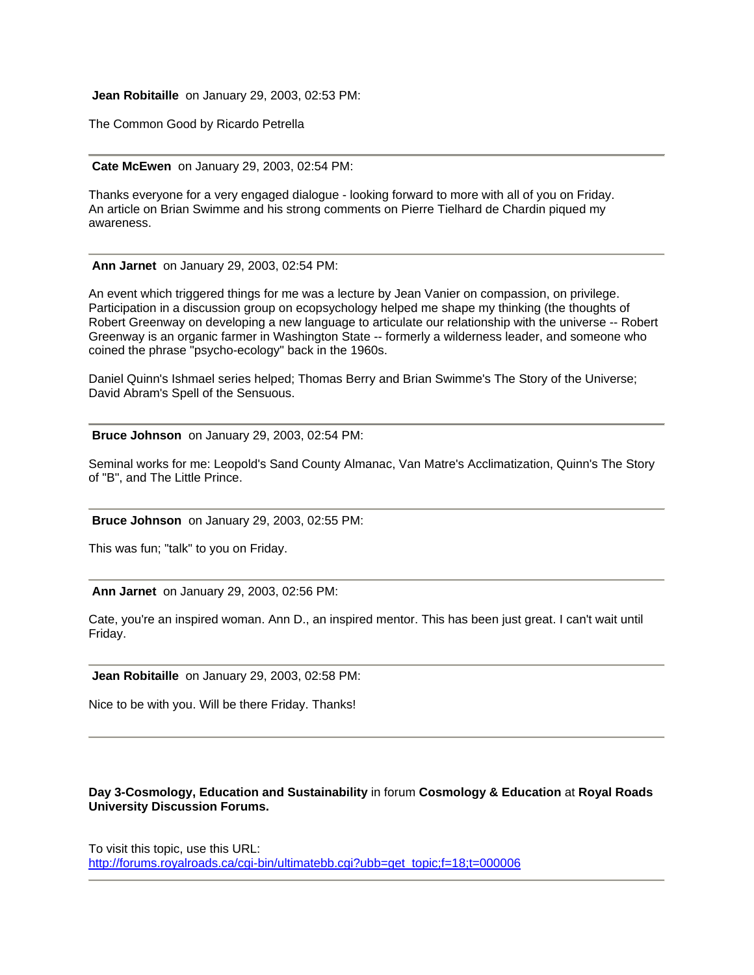**Jean Robitaille** on January 29, 2003, 02:53 PM:

The Common Good by Ricardo Petrella

**Cate McEwen** on January 29, 2003, 02:54 PM:

Thanks everyone for a very engaged dialogue - looking forward to more with all of you on Friday. An article on Brian Swimme and his strong comments on Pierre Tielhard de Chardin piqued my awareness.

**Ann Jarnet** on January 29, 2003, 02:54 PM:

An event which triggered things for me was a lecture by Jean Vanier on compassion, on privilege. Participation in a discussion group on ecopsychology helped me shape my thinking (the thoughts of Robert Greenway on developing a new language to articulate our relationship with the universe -- Robert Greenway is an organic farmer in Washington State -- formerly a wilderness leader, and someone who coined the phrase "psycho-ecology" back in the 1960s.

Daniel Quinn's Ishmael series helped; Thomas Berry and Brian Swimme's The Story of the Universe; David Abram's Spell of the Sensuous.

**Bruce Johnson** on January 29, 2003, 02:54 PM:

Seminal works for me: Leopold's Sand County Almanac, Van Matre's Acclimatization, Quinn's The Story of "B", and The Little Prince.

**Bruce Johnson** on January 29, 2003, 02:55 PM:

This was fun; "talk" to you on Friday.

**Ann Jarnet** on January 29, 2003, 02:56 PM:

Cate, you're an inspired woman. Ann D., an inspired mentor. This has been just great. I can't wait until Friday.

**Jean Robitaille** on January 29, 2003, 02:58 PM:

Nice to be with you. Will be there Friday. Thanks!

# **Day 3-Cosmology, Education and Sustainability** in forum **Cosmology & Education** at **Royal Roads University Discussion Forums.**

To visit this topic, use this URL: [http://forums.royalroads.ca/cgi-bin/ultimatebb.cgi?ubb=get\\_topic;f=18;t=000006](http://forums.royalroads.ca/cgi-bin/ultimatebb.cgi?ubb=get_topic;f=18;t=000006)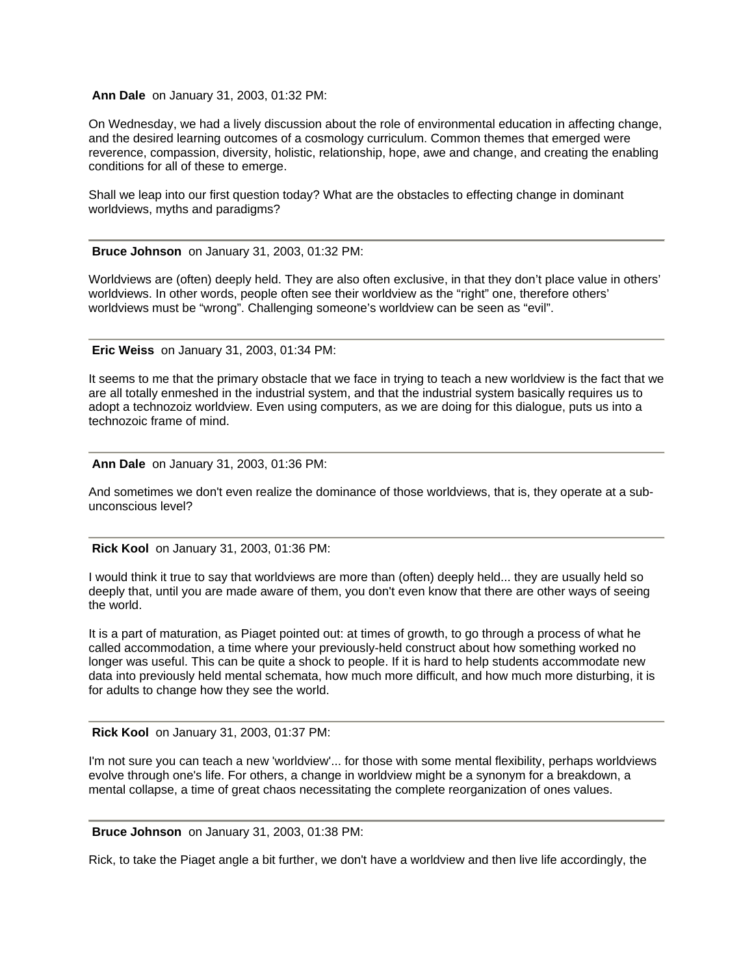#### **Ann Dale** on January 31, 2003, 01:32 PM:

On Wednesday, we had a lively discussion about the role of environmental education in affecting change, and the desired learning outcomes of a cosmology curriculum. Common themes that emerged were reverence, compassion, diversity, holistic, relationship, hope, awe and change, and creating the enabling conditions for all of these to emerge.

Shall we leap into our first question today? What are the obstacles to effecting change in dominant worldviews, myths and paradigms?

**Bruce Johnson** on January 31, 2003, 01:32 PM:

Worldviews are (often) deeply held. They are also often exclusive, in that they don't place value in others' worldviews. In other words, people often see their worldview as the "right" one, therefore others' worldviews must be "wrong". Challenging someone's worldview can be seen as "evil".

**Eric Weiss** on January 31, 2003, 01:34 PM:

It seems to me that the primary obstacle that we face in trying to teach a new worldview is the fact that we are all totally enmeshed in the industrial system, and that the industrial system basically requires us to adopt a technozoiz worldview. Even using computers, as we are doing for this dialogue, puts us into a technozoic frame of mind.

**Ann Dale** on January 31, 2003, 01:36 PM:

And sometimes we don't even realize the dominance of those worldviews, that is, they operate at a subunconscious level?

**Rick Kool** on January 31, 2003, 01:36 PM:

I would think it true to say that worldviews are more than (often) deeply held... they are usually held so deeply that, until you are made aware of them, you don't even know that there are other ways of seeing the world.

It is a part of maturation, as Piaget pointed out: at times of growth, to go through a process of what he called accommodation, a time where your previously-held construct about how something worked no longer was useful. This can be quite a shock to people. If it is hard to help students accommodate new data into previously held mental schemata, how much more difficult, and how much more disturbing, it is for adults to change how they see the world.

**Rick Kool** on January 31, 2003, 01:37 PM:

I'm not sure you can teach a new 'worldview'... for those with some mental flexibility, perhaps worldviews evolve through one's life. For others, a change in worldview might be a synonym for a breakdown, a mental collapse, a time of great chaos necessitating the complete reorganization of ones values.

**Bruce Johnson** on January 31, 2003, 01:38 PM:

Rick, to take the Piaget angle a bit further, we don't have a worldview and then live life accordingly, the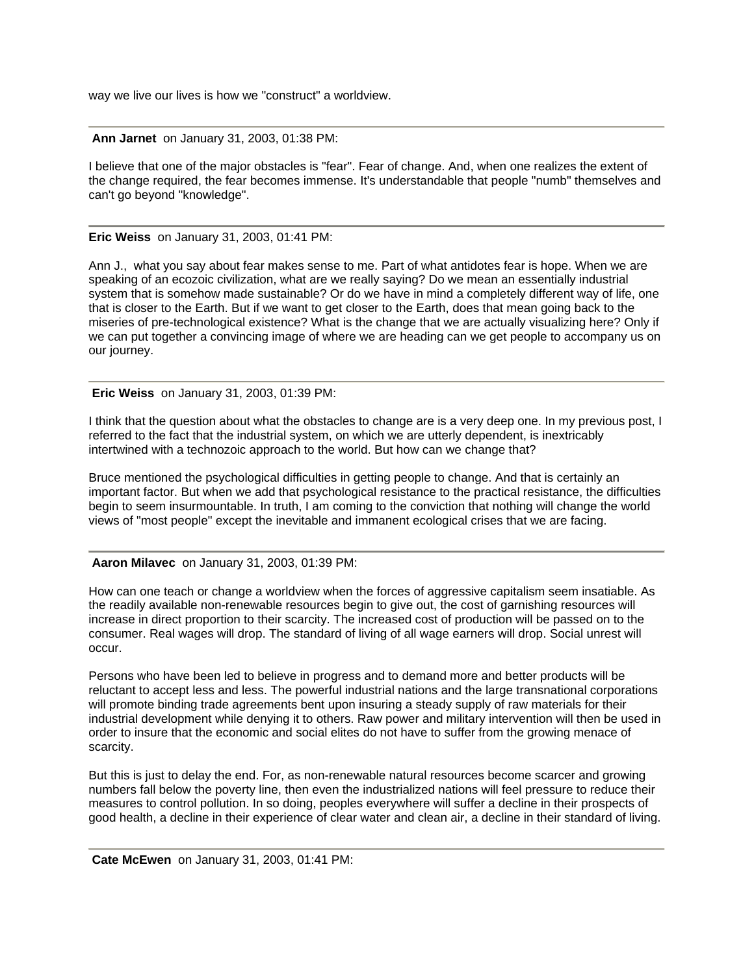way we live our lives is how we "construct" a worldview.

**Ann Jarnet** on January 31, 2003, 01:38 PM:

I believe that one of the major obstacles is "fear". Fear of change. And, when one realizes the extent of the change required, the fear becomes immense. It's understandable that people "numb" themselves and can't go beyond "knowledge".

**Eric Weiss** on January 31, 2003, 01:41 PM:

Ann J., what you say about fear makes sense to me. Part of what antidotes fear is hope. When we are speaking of an ecozoic civilization, what are we really saying? Do we mean an essentially industrial system that is somehow made sustainable? Or do we have in mind a completely different way of life, one that is closer to the Earth. But if we want to get closer to the Earth, does that mean going back to the miseries of pre-technological existence? What is the change that we are actually visualizing here? Only if we can put together a convincing image of where we are heading can we get people to accompany us on our journey.

**Eric Weiss** on January 31, 2003, 01:39 PM:

I think that the question about what the obstacles to change are is a very deep one. In my previous post, I referred to the fact that the industrial system, on which we are utterly dependent, is inextricably intertwined with a technozoic approach to the world. But how can we change that?

Bruce mentioned the psychological difficulties in getting people to change. And that is certainly an important factor. But when we add that psychological resistance to the practical resistance, the difficulties begin to seem insurmountable. In truth, I am coming to the conviction that nothing will change the world views of "most people" except the inevitable and immanent ecological crises that we are facing.

**Aaron Milavec** on January 31, 2003, 01:39 PM:

How can one teach or change a worldview when the forces of aggressive capitalism seem insatiable. As the readily available non-renewable resources begin to give out, the cost of garnishing resources will increase in direct proportion to their scarcity. The increased cost of production will be passed on to the consumer. Real wages will drop. The standard of living of all wage earners will drop. Social unrest will occur.

Persons who have been led to believe in progress and to demand more and better products will be reluctant to accept less and less. The powerful industrial nations and the large transnational corporations will promote binding trade agreements bent upon insuring a steady supply of raw materials for their industrial development while denying it to others. Raw power and military intervention will then be used in order to insure that the economic and social elites do not have to suffer from the growing menace of scarcity.

But this is just to delay the end. For, as non-renewable natural resources become scarcer and growing numbers fall below the poverty line, then even the industrialized nations will feel pressure to reduce their measures to control pollution. In so doing, peoples everywhere will suffer a decline in their prospects of good health, a decline in their experience of clear water and clean air, a decline in their standard of living.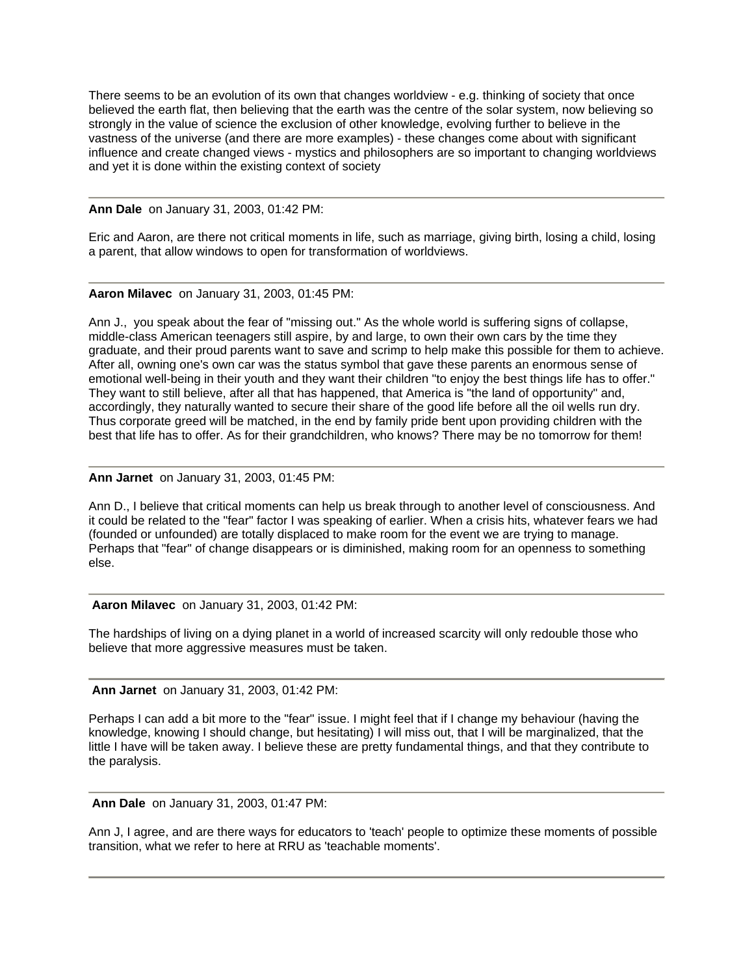There seems to be an evolution of its own that changes worldview - e.g. thinking of society that once believed the earth flat, then believing that the earth was the centre of the solar system, now believing so strongly in the value of science the exclusion of other knowledge, evolving further to believe in the vastness of the universe (and there are more examples) - these changes come about with significant influence and create changed views - mystics and philosophers are so important to changing worldviews and yet it is done within the existing context of society

# **Ann Dale** on January 31, 2003, 01:42 PM:

Eric and Aaron, are there not critical moments in life, such as marriage, giving birth, losing a child, losing a parent, that allow windows to open for transformation of worldviews.

# **Aaron Milavec** on January 31, 2003, 01:45 PM:

Ann J., you speak about the fear of "missing out." As the whole world is suffering signs of collapse, middle-class American teenagers still aspire, by and large, to own their own cars by the time they graduate, and their proud parents want to save and scrimp to help make this possible for them to achieve. After all, owning one's own car was the status symbol that gave these parents an enormous sense of emotional well-being in their youth and they want their children "to enjoy the best things life has to offer." They want to still believe, after all that has happened, that America is "the land of opportunity" and, accordingly, they naturally wanted to secure their share of the good life before all the oil wells run dry. Thus corporate greed will be matched, in the end by family pride bent upon providing children with the best that life has to offer. As for their grandchildren, who knows? There may be no tomorrow for them!

# **Ann Jarnet** on January 31, 2003, 01:45 PM:

Ann D., I believe that critical moments can help us break through to another level of consciousness. And it could be related to the "fear" factor I was speaking of earlier. When a crisis hits, whatever fears we had (founded or unfounded) are totally displaced to make room for the event we are trying to manage. Perhaps that "fear" of change disappears or is diminished, making room for an openness to something else.

# **Aaron Milavec** on January 31, 2003, 01:42 PM:

The hardships of living on a dying planet in a world of increased scarcity will only redouble those who believe that more aggressive measures must be taken.

**Ann Jarnet** on January 31, 2003, 01:42 PM:

Perhaps I can add a bit more to the "fear" issue. I might feel that if I change my behaviour (having the knowledge, knowing I should change, but hesitating) I will miss out, that I will be marginalized, that the little I have will be taken away. I believe these are pretty fundamental things, and that they contribute to the paralysis.

**Ann Dale** on January 31, 2003, 01:47 PM:

Ann J, I agree, and are there ways for educators to 'teach' people to optimize these moments of possible transition, what we refer to here at RRU as 'teachable moments'.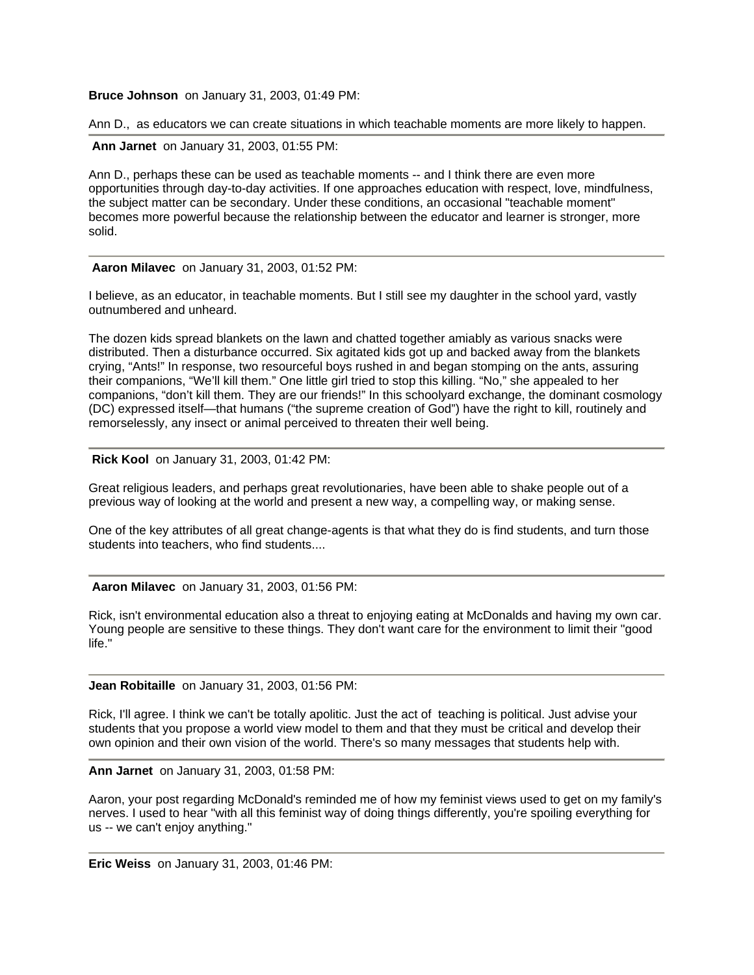**Bruce Johnson** on January 31, 2003, 01:49 PM:

Ann D., as educators we can create situations in which teachable moments are more likely to happen.

**Ann Jarnet** on January 31, 2003, 01:55 PM:

Ann D., perhaps these can be used as teachable moments -- and I think there are even more opportunities through day-to-day activities. If one approaches education with respect, love, mindfulness, the subject matter can be secondary. Under these conditions, an occasional "teachable moment" becomes more powerful because the relationship between the educator and learner is stronger, more solid.

# **Aaron Milavec** on January 31, 2003, 01:52 PM:

I believe, as an educator, in teachable moments. But I still see my daughter in the school yard, vastly outnumbered and unheard.

The dozen kids spread blankets on the lawn and chatted together amiably as various snacks were distributed. Then a disturbance occurred. Six agitated kids got up and backed away from the blankets crying, "Ants!" In response, two resourceful boys rushed in and began stomping on the ants, assuring their companions, "We'll kill them." One little girl tried to stop this killing. "No," she appealed to her companions, "don't kill them. They are our friends!" In this schoolyard exchange, the dominant cosmology (DC) expressed itself—that humans ("the supreme creation of God") have the right to kill, routinely and remorselessly, any insect or animal perceived to threaten their well being.

**Rick Kool** on January 31, 2003, 01:42 PM:

Great religious leaders, and perhaps great revolutionaries, have been able to shake people out of a previous way of looking at the world and present a new way, a compelling way, or making sense.

One of the key attributes of all great change-agents is that what they do is find students, and turn those students into teachers, who find students....

# **Aaron Milavec** on January 31, 2003, 01:56 PM:

Rick, isn't environmental education also a threat to enjoying eating at McDonalds and having my own car. Young people are sensitive to these things. They don't want care for the environment to limit their "good life."

#### **Jean Robitaille** on January 31, 2003, 01:56 PM:

Rick, I'll agree. I think we can't be totally apolitic. Just the act of teaching is political. Just advise your students that you propose a world view model to them and that they must be critical and develop their own opinion and their own vision of the world. There's so many messages that students help with.

**Ann Jarnet** on January 31, 2003, 01:58 PM:

Aaron, your post regarding McDonald's reminded me of how my feminist views used to get on my family's nerves. I used to hear "with all this feminist way of doing things differently, you're spoiling everything for us -- we can't enjoy anything."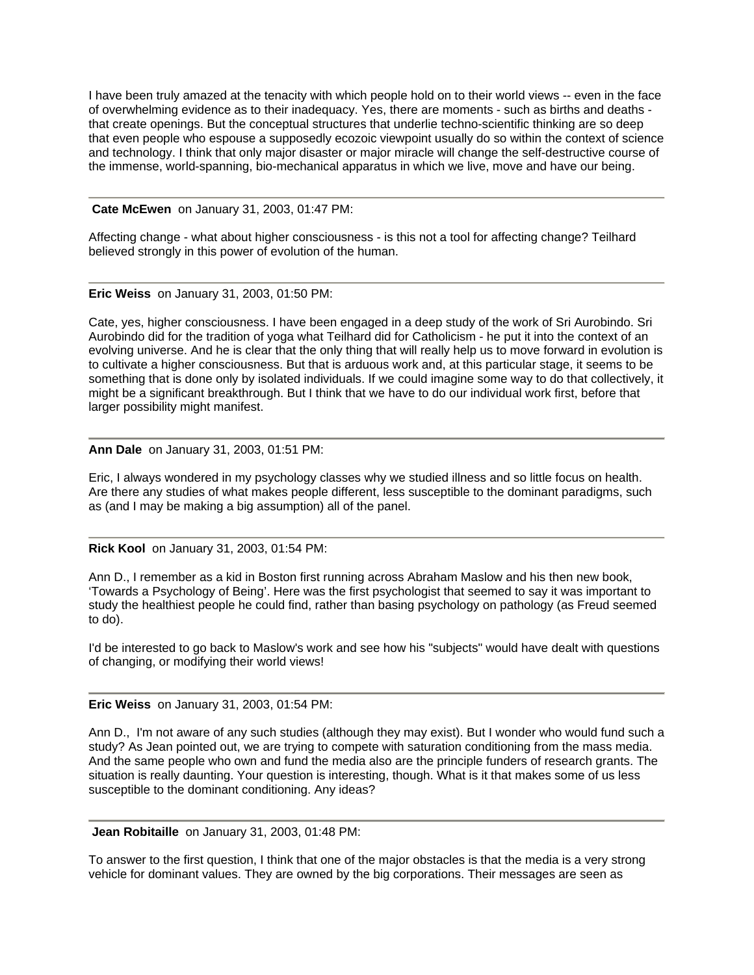I have been truly amazed at the tenacity with which people hold on to their world views -- even in the face of overwhelming evidence as to their inadequacy. Yes, there are moments - such as births and deaths that create openings. But the conceptual structures that underlie techno-scientific thinking are so deep that even people who espouse a supposedly ecozoic viewpoint usually do so within the context of science and technology. I think that only major disaster or major miracle will change the self-destructive course of the immense, world-spanning, bio-mechanical apparatus in which we live, move and have our being.

# **Cate McEwen** on January 31, 2003, 01:47 PM:

Affecting change - what about higher consciousness - is this not a tool for affecting change? Teilhard believed strongly in this power of evolution of the human.

# **Eric Weiss** on January 31, 2003, 01:50 PM:

Cate, yes, higher consciousness. I have been engaged in a deep study of the work of Sri Aurobindo. Sri Aurobindo did for the tradition of yoga what Teilhard did for Catholicism - he put it into the context of an evolving universe. And he is clear that the only thing that will really help us to move forward in evolution is to cultivate a higher consciousness. But that is arduous work and, at this particular stage, it seems to be something that is done only by isolated individuals. If we could imagine some way to do that collectively, it might be a significant breakthrough. But I think that we have to do our individual work first, before that larger possibility might manifest.

# **Ann Dale** on January 31, 2003, 01:51 PM:

Eric, I always wondered in my psychology classes why we studied illness and so little focus on health. Are there any studies of what makes people different, less susceptible to the dominant paradigms, such as (and I may be making a big assumption) all of the panel.

# **Rick Kool** on January 31, 2003, 01:54 PM:

Ann D., I remember as a kid in Boston first running across Abraham Maslow and his then new book, 'Towards a Psychology of Being'. Here was the first psychologist that seemed to say it was important to study the healthiest people he could find, rather than basing psychology on pathology (as Freud seemed to do).

I'd be interested to go back to Maslow's work and see how his "subjects" would have dealt with questions of changing, or modifying their world views!

# **Eric Weiss** on January 31, 2003, 01:54 PM:

Ann D., I'm not aware of any such studies (although they may exist). But I wonder who would fund such a study? As Jean pointed out, we are trying to compete with saturation conditioning from the mass media. And the same people who own and fund the media also are the principle funders of research grants. The situation is really daunting. Your question is interesting, though. What is it that makes some of us less susceptible to the dominant conditioning. Any ideas?

# **Jean Robitaille** on January 31, 2003, 01:48 PM:

To answer to the first question, I think that one of the major obstacles is that the media is a very strong vehicle for dominant values. They are owned by the big corporations. Their messages are seen as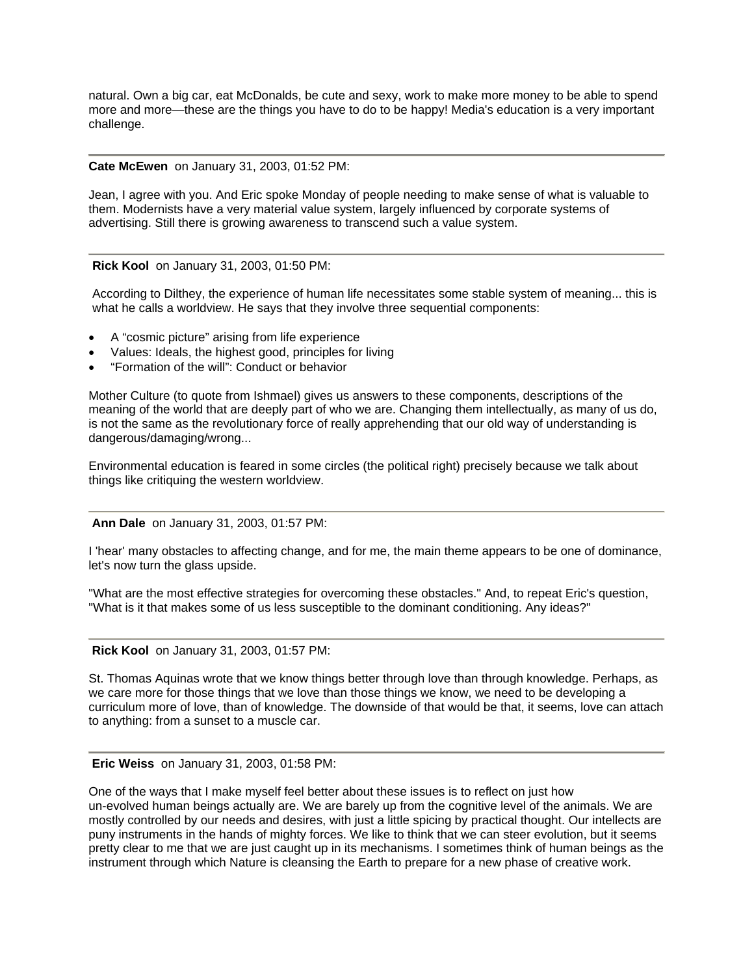natural. Own a big car, eat McDonalds, be cute and sexy, work to make more money to be able to spend more and more—these are the things you have to do to be happy! Media's education is a very important challenge.

#### **Cate McEwen** on January 31, 2003, 01:52 PM:

Jean, I agree with you. And Eric spoke Monday of people needing to make sense of what is valuable to them. Modernists have a very material value system, largely influenced by corporate systems of advertising. Still there is growing awareness to transcend such a value system.

**Rick Kool** on January 31, 2003, 01:50 PM:

According to Dilthey, the experience of human life necessitates some stable system of meaning... this is what he calls a worldview. He says that they involve three sequential components:

- A "cosmic picture" arising from life experience
- Values: Ideals, the highest good, principles for living
- "Formation of the will": Conduct or behavior

Mother Culture (to quote from Ishmael) gives us answers to these components, descriptions of the meaning of the world that are deeply part of who we are. Changing them intellectually, as many of us do, is not the same as the revolutionary force of really apprehending that our old way of understanding is dangerous/damaging/wrong...

Environmental education is feared in some circles (the political right) precisely because we talk about things like critiquing the western worldview.

**Ann Dale** on January 31, 2003, 01:57 PM:

I 'hear' many obstacles to affecting change, and for me, the main theme appears to be one of dominance, let's now turn the glass upside.

"What are the most effective strategies for overcoming these obstacles." And, to repeat Eric's question, "What is it that makes some of us less susceptible to the dominant conditioning. Any ideas?"

**Rick Kool** on January 31, 2003, 01:57 PM:

St. Thomas Aquinas wrote that we know things better through love than through knowledge. Perhaps, as we care more for those things that we love than those things we know, we need to be developing a curriculum more of love, than of knowledge. The downside of that would be that, it seems, love can attach to anything: from a sunset to a muscle car.

#### **Eric Weiss** on January 31, 2003, 01:58 PM:

One of the ways that I make myself feel better about these issues is to reflect on just how un-evolved human beings actually are. We are barely up from the cognitive level of the animals. We are mostly controlled by our needs and desires, with just a little spicing by practical thought. Our intellects are puny instruments in the hands of mighty forces. We like to think that we can steer evolution, but it seems pretty clear to me that we are just caught up in its mechanisms. I sometimes think of human beings as the instrument through which Nature is cleansing the Earth to prepare for a new phase of creative work.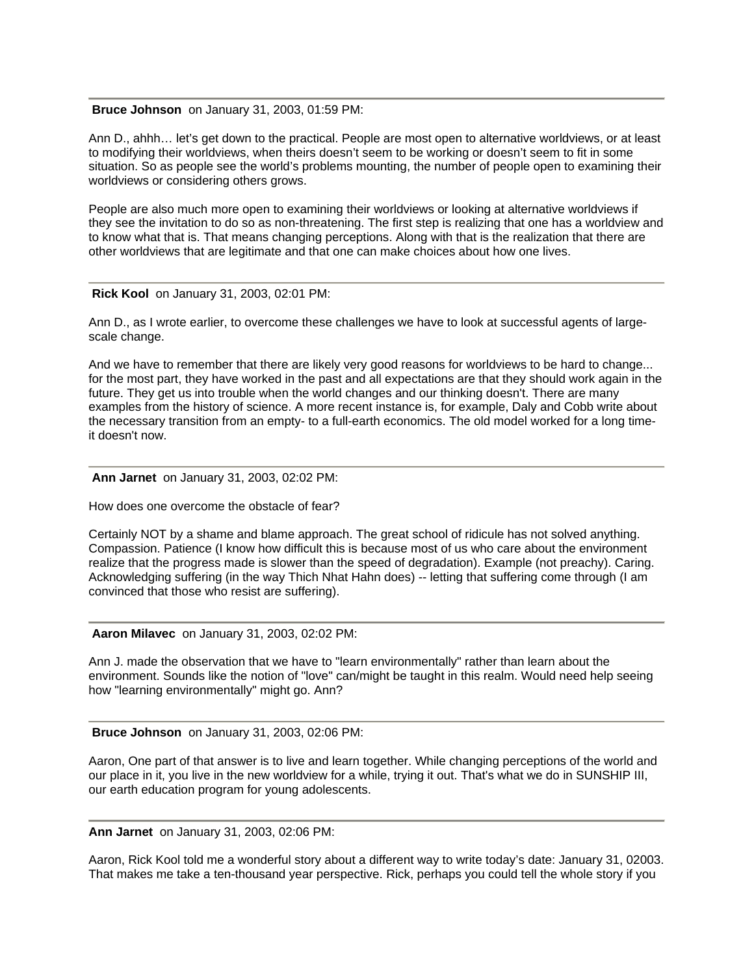#### **Bruce Johnson** on January 31, 2003, 01:59 PM:

Ann D., ahhh… let's get down to the practical. People are most open to alternative worldviews, or at least to modifying their worldviews, when theirs doesn't seem to be working or doesn't seem to fit in some situation. So as people see the world's problems mounting, the number of people open to examining their worldviews or considering others grows.

People are also much more open to examining their worldviews or looking at alternative worldviews if they see the invitation to do so as non-threatening. The first step is realizing that one has a worldview and to know what that is. That means changing perceptions. Along with that is the realization that there are other worldviews that are legitimate and that one can make choices about how one lives.

# **Rick Kool** on January 31, 2003, 02:01 PM:

Ann D., as I wrote earlier, to overcome these challenges we have to look at successful agents of largescale change.

And we have to remember that there are likely very good reasons for worldviews to be hard to change... for the most part, they have worked in the past and all expectations are that they should work again in the future. They get us into trouble when the world changes and our thinking doesn't. There are many examples from the history of science. A more recent instance is, for example, Daly and Cobb write about the necessary transition from an empty- to a full-earth economics. The old model worked for a long timeit doesn't now.

### **Ann Jarnet** on January 31, 2003, 02:02 PM:

How does one overcome the obstacle of fear?

Certainly NOT by a shame and blame approach. The great school of ridicule has not solved anything. Compassion. Patience (I know how difficult this is because most of us who care about the environment realize that the progress made is slower than the speed of degradation). Example (not preachy). Caring. Acknowledging suffering (in the way Thich Nhat Hahn does) -- letting that suffering come through (I am convinced that those who resist are suffering).

**Aaron Milavec** on January 31, 2003, 02:02 PM:

Ann J. made the observation that we have to "learn environmentally" rather than learn about the environment. Sounds like the notion of "love" can/might be taught in this realm. Would need help seeing how "learning environmentally" might go. Ann?

**Bruce Johnson** on January 31, 2003, 02:06 PM:

Aaron, One part of that answer is to live and learn together. While changing perceptions of the world and our place in it, you live in the new worldview for a while, trying it out. That's what we do in SUNSHIP III, our earth education program for young adolescents.

**Ann Jarnet** on January 31, 2003, 02:06 PM:

Aaron, Rick Kool told me a wonderful story about a different way to write today's date: January 31, 02003. That makes me take a ten-thousand year perspective. Rick, perhaps you could tell the whole story if you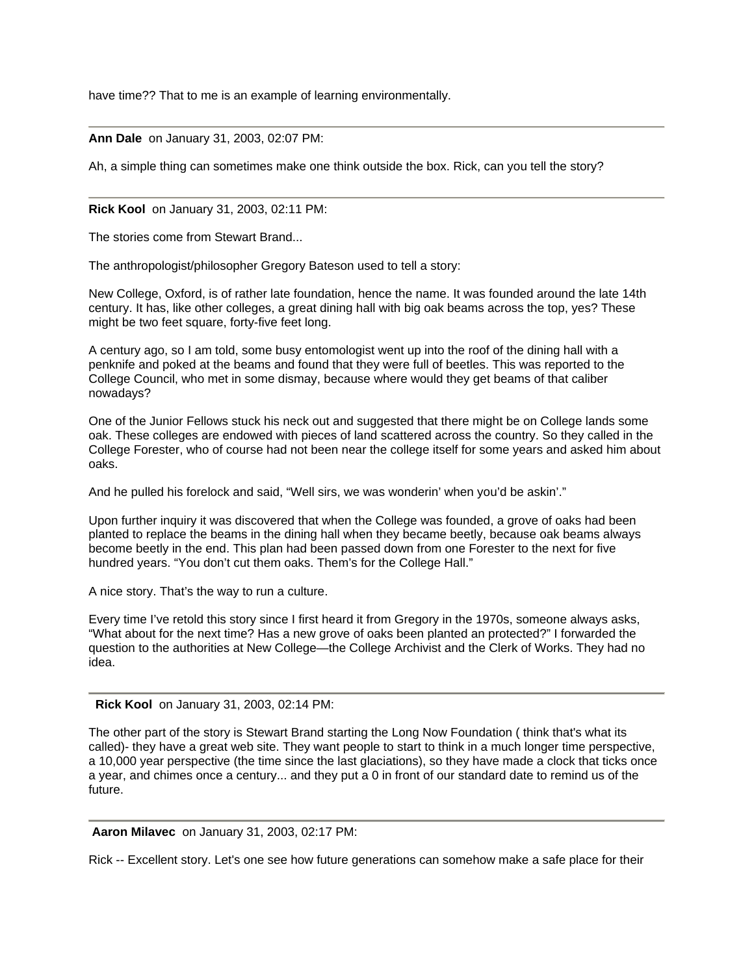have time?? That to me is an example of learning environmentally.

**Ann Dale** on January 31, 2003, 02:07 PM:

Ah, a simple thing can sometimes make one think outside the box. Rick, can you tell the story?

**Rick Kool** on January 31, 2003, 02:11 PM:

The stories come from Stewart Brand...

The anthropologist/philosopher Gregory Bateson used to tell a story:

New College, Oxford, is of rather late foundation, hence the name. It was founded around the late 14th century. It has, like other colleges, a great dining hall with big oak beams across the top, yes? These might be two feet square, forty-five feet long.

A century ago, so I am told, some busy entomologist went up into the roof of the dining hall with a penknife and poked at the beams and found that they were full of beetles. This was reported to the College Council, who met in some dismay, because where would they get beams of that caliber nowadays?

One of the Junior Fellows stuck his neck out and suggested that there might be on College lands some oak. These colleges are endowed with pieces of land scattered across the country. So they called in the College Forester, who of course had not been near the college itself for some years and asked him about oaks.

And he pulled his forelock and said, "Well sirs, we was wonderin' when you'd be askin'."

Upon further inquiry it was discovered that when the College was founded, a grove of oaks had been planted to replace the beams in the dining hall when they became beetly, because oak beams always become beetly in the end. This plan had been passed down from one Forester to the next for five hundred years. "You don't cut them oaks. Them's for the College Hall."

A nice story. That's the way to run a culture.

Every time I've retold this story since I first heard it from Gregory in the 1970s, someone always asks, "What about for the next time? Has a new grove of oaks been planted an protected?" I forwarded the question to the authorities at New College—the College Archivist and the Clerk of Works. They had no idea.

**Rick Kool** on January 31, 2003, 02:14 PM:

The other part of the story is Stewart Brand starting the Long Now Foundation ( think that's what its called)- they have a great web site. They want people to start to think in a much longer time perspective, a 10,000 year perspective (the time since the last glaciations), so they have made a clock that ticks once a year, and chimes once a century... and they put a 0 in front of our standard date to remind us of the future.

**Aaron Milavec** on January 31, 2003, 02:17 PM:

Rick -- Excellent story. Let's one see how future generations can somehow make a safe place for their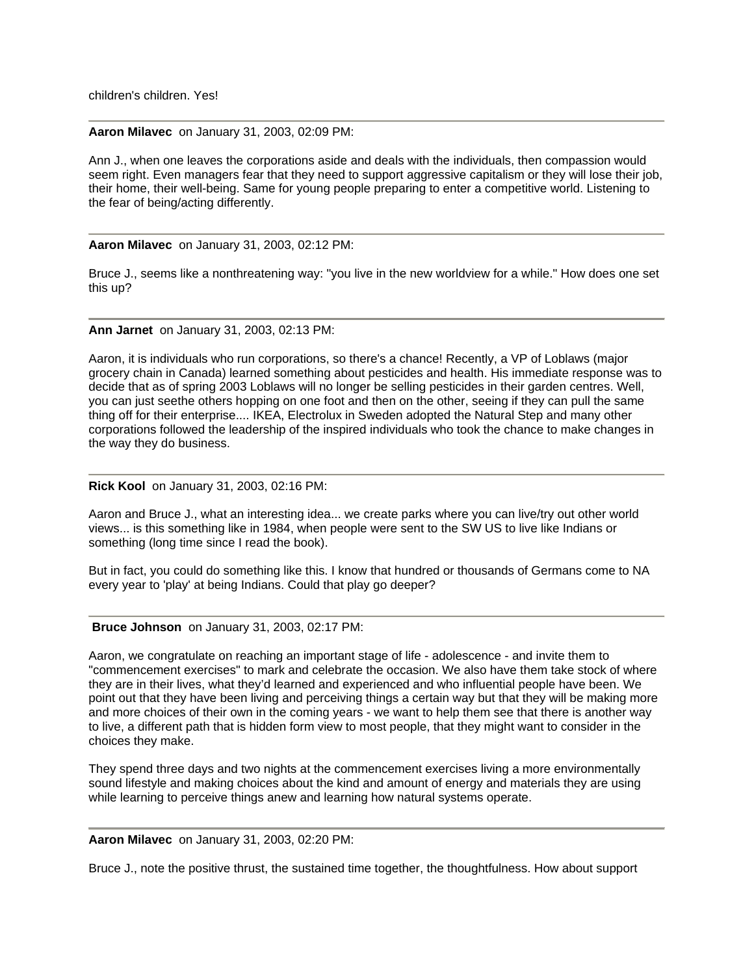children's children. Yes!

**Aaron Milavec** on January 31, 2003, 02:09 PM:

Ann J., when one leaves the corporations aside and deals with the individuals, then compassion would seem right. Even managers fear that they need to support aggressive capitalism or they will lose their job, their home, their well-being. Same for young people preparing to enter a competitive world. Listening to the fear of being/acting differently.

**Aaron Milavec** on January 31, 2003, 02:12 PM:

Bruce J., seems like a nonthreatening way: "you live in the new worldview for a while." How does one set this up?

**Ann Jarnet** on January 31, 2003, 02:13 PM:

Aaron, it is individuals who run corporations, so there's a chance! Recently, a VP of Loblaws (major grocery chain in Canada) learned something about pesticides and health. His immediate response was to decide that as of spring 2003 Loblaws will no longer be selling pesticides in their garden centres. Well, you can just seethe others hopping on one foot and then on the other, seeing if they can pull the same thing off for their enterprise.... IKEA, Electrolux in Sweden adopted the Natural Step and many other corporations followed the leadership of the inspired individuals who took the chance to make changes in the way they do business.

**Rick Kool** on January 31, 2003, 02:16 PM:

Aaron and Bruce J., what an interesting idea... we create parks where you can live/try out other world views... is this something like in 1984, when people were sent to the SW US to live like Indians or something (long time since I read the book).

But in fact, you could do something like this. I know that hundred or thousands of Germans come to NA every year to 'play' at being Indians. Could that play go deeper?

**Bruce Johnson** on January 31, 2003, 02:17 PM:

Aaron, we congratulate on reaching an important stage of life - adolescence - and invite them to "commencement exercises" to mark and celebrate the occasion. We also have them take stock of where they are in their lives, what they'd learned and experienced and who influential people have been. We point out that they have been living and perceiving things a certain way but that they will be making more and more choices of their own in the coming years - we want to help them see that there is another way to live, a different path that is hidden form view to most people, that they might want to consider in the choices they make.

They spend three days and two nights at the commencement exercises living a more environmentally sound lifestyle and making choices about the kind and amount of energy and materials they are using while learning to perceive things anew and learning how natural systems operate.

**Aaron Milavec** on January 31, 2003, 02:20 PM:

Bruce J., note the positive thrust, the sustained time together, the thoughtfulness. How about support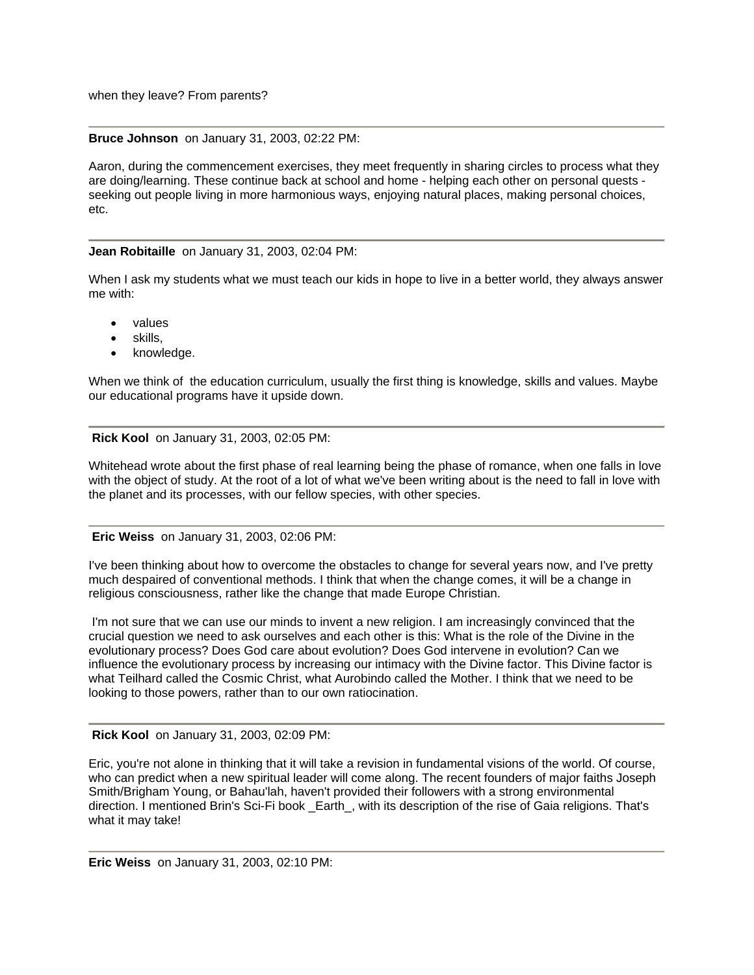when they leave? From parents?

### **Bruce Johnson** on January 31, 2003, 02:22 PM:

Aaron, during the commencement exercises, they meet frequently in sharing circles to process what they are doing/learning. These continue back at school and home - helping each other on personal quests seeking out people living in more harmonious ways, enjoying natural places, making personal choices, etc.

### **Jean Robitaille** on January 31, 2003, 02:04 PM:

When I ask my students what we must teach our kids in hope to live in a better world, they always answer me with:

- values
- skills,
- knowledge.

When we think of the education curriculum, usually the first thing is knowledge, skills and values. Maybe our educational programs have it upside down.

# **Rick Kool** on January 31, 2003, 02:05 PM:

Whitehead wrote about the first phase of real learning being the phase of romance, when one falls in love with the object of study. At the root of a lot of what we've been writing about is the need to fall in love with the planet and its processes, with our fellow species, with other species.

# **Eric Weiss** on January 31, 2003, 02:06 PM:

I've been thinking about how to overcome the obstacles to change for several years now, and I've pretty much despaired of conventional methods. I think that when the change comes, it will be a change in religious consciousness, rather like the change that made Europe Christian.

 I'm not sure that we can use our minds to invent a new religion. I am increasingly convinced that the crucial question we need to ask ourselves and each other is this: What is the role of the Divine in the evolutionary process? Does God care about evolution? Does God intervene in evolution? Can we influence the evolutionary process by increasing our intimacy with the Divine factor. This Divine factor is what Teilhard called the Cosmic Christ, what Aurobindo called the Mother. I think that we need to be looking to those powers, rather than to our own ratiocination.

# **Rick Kool** on January 31, 2003, 02:09 PM:

Eric, you're not alone in thinking that it will take a revision in fundamental visions of the world. Of course, who can predict when a new spiritual leader will come along. The recent founders of major faiths Joseph Smith/Brigham Young, or Bahau'lah, haven't provided their followers with a strong environmental direction. I mentioned Brin's Sci-Fi book \_Earth\_, with its description of the rise of Gaia religions. That's what it may take!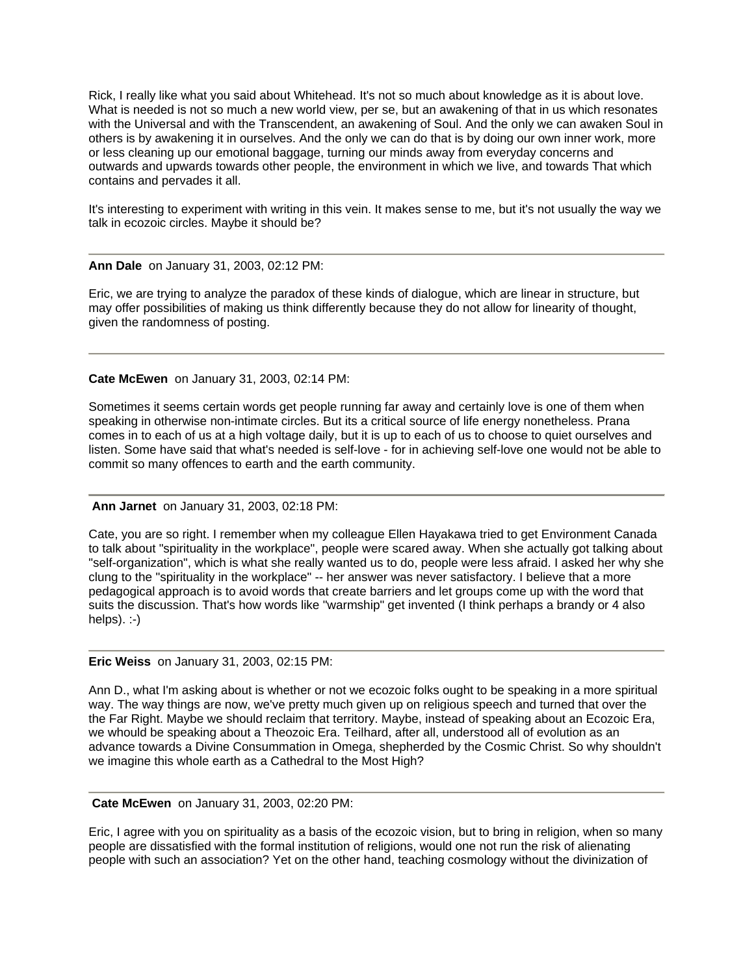Rick, I really like what you said about Whitehead. It's not so much about knowledge as it is about love. What is needed is not so much a new world view, per se, but an awakening of that in us which resonates with the Universal and with the Transcendent, an awakening of Soul. And the only we can awaken Soul in others is by awakening it in ourselves. And the only we can do that is by doing our own inner work, more or less cleaning up our emotional baggage, turning our minds away from everyday concerns and outwards and upwards towards other people, the environment in which we live, and towards That which contains and pervades it all.

It's interesting to experiment with writing in this vein. It makes sense to me, but it's not usually the way we talk in ecozoic circles. Maybe it should be?

### **Ann Dale** on January 31, 2003, 02:12 PM:

Eric, we are trying to analyze the paradox of these kinds of dialogue, which are linear in structure, but may offer possibilities of making us think differently because they do not allow for linearity of thought, given the randomness of posting.

**Cate McEwen** on January 31, 2003, 02:14 PM:

Sometimes it seems certain words get people running far away and certainly love is one of them when speaking in otherwise non-intimate circles. But its a critical source of life energy nonetheless. Prana comes in to each of us at a high voltage daily, but it is up to each of us to choose to quiet ourselves and listen. Some have said that what's needed is self-love - for in achieving self-love one would not be able to commit so many offences to earth and the earth community.

**Ann Jarnet** on January 31, 2003, 02:18 PM:

Cate, you are so right. I remember when my colleague Ellen Hayakawa tried to get Environment Canada to talk about "spirituality in the workplace", people were scared away. When she actually got talking about "self-organization", which is what she really wanted us to do, people were less afraid. I asked her why she clung to the "spirituality in the workplace" -- her answer was never satisfactory. I believe that a more pedagogical approach is to avoid words that create barriers and let groups come up with the word that suits the discussion. That's how words like "warmship" get invented (I think perhaps a brandy or 4 also helps). :-)

# **Eric Weiss** on January 31, 2003, 02:15 PM:

Ann D., what I'm asking about is whether or not we ecozoic folks ought to be speaking in a more spiritual way. The way things are now, we've pretty much given up on religious speech and turned that over the the Far Right. Maybe we should reclaim that territory. Maybe, instead of speaking about an Ecozoic Era, we whould be speaking about a Theozoic Era. Teilhard, after all, understood all of evolution as an advance towards a Divine Consummation in Omega, shepherded by the Cosmic Christ. So why shouldn't we imagine this whole earth as a Cathedral to the Most High?

### **Cate McEwen** on January 31, 2003, 02:20 PM:

Eric, I agree with you on spirituality as a basis of the ecozoic vision, but to bring in religion, when so many people are dissatisfied with the formal institution of religions, would one not run the risk of alienating people with such an association? Yet on the other hand, teaching cosmology without the divinization of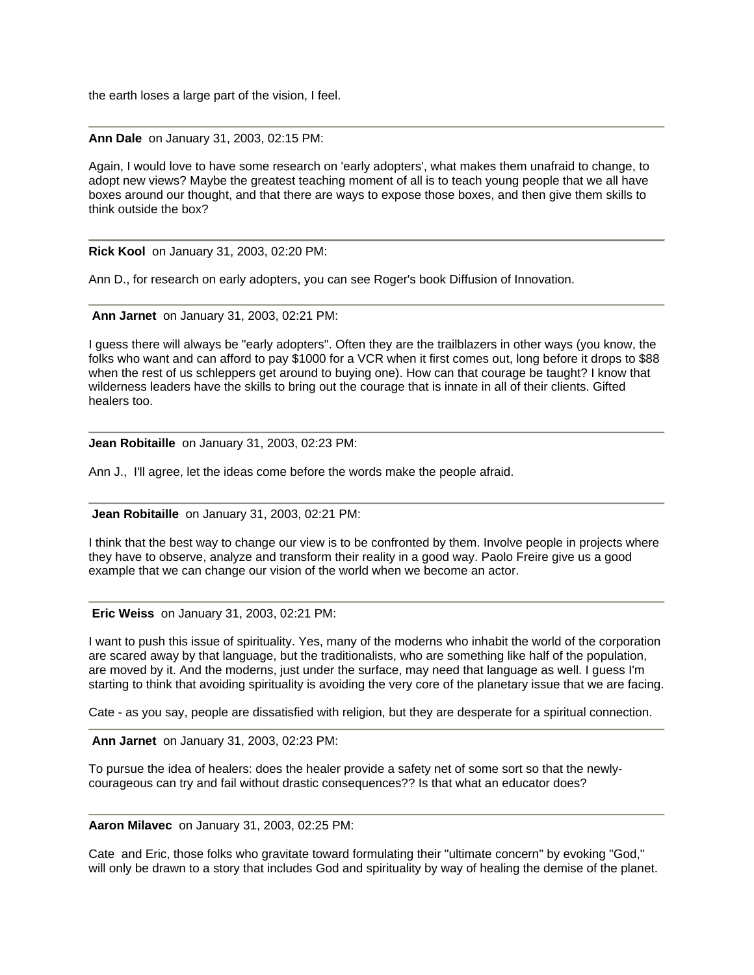the earth loses a large part of the vision, I feel.

**Ann Dale** on January 31, 2003, 02:15 PM:

Again, I would love to have some research on 'early adopters', what makes them unafraid to change, to adopt new views? Maybe the greatest teaching moment of all is to teach young people that we all have boxes around our thought, and that there are ways to expose those boxes, and then give them skills to think outside the box?

**Rick Kool** on January 31, 2003, 02:20 PM:

Ann D., for research on early adopters, you can see Roger's book Diffusion of Innovation.

**Ann Jarnet** on January 31, 2003, 02:21 PM:

I guess there will always be "early adopters". Often they are the trailblazers in other ways (you know, the folks who want and can afford to pay \$1000 for a VCR when it first comes out, long before it drops to \$88 when the rest of us schleppers get around to buying one). How can that courage be taught? I know that wilderness leaders have the skills to bring out the courage that is innate in all of their clients. Gifted healers too.

**Jean Robitaille** on January 31, 2003, 02:23 PM:

Ann J., I'll agree, let the ideas come before the words make the people afraid.

**Jean Robitaille** on January 31, 2003, 02:21 PM:

I think that the best way to change our view is to be confronted by them. Involve people in projects where they have to observe, analyze and transform their reality in a good way. Paolo Freire give us a good example that we can change our vision of the world when we become an actor.

**Eric Weiss** on January 31, 2003, 02:21 PM:

I want to push this issue of spirituality. Yes, many of the moderns who inhabit the world of the corporation are scared away by that language, but the traditionalists, who are something like half of the population, are moved by it. And the moderns, just under the surface, may need that language as well. I guess I'm starting to think that avoiding spirituality is avoiding the very core of the planetary issue that we are facing.

Cate - as you say, people are dissatisfied with religion, but they are desperate for a spiritual connection.

**Ann Jarnet** on January 31, 2003, 02:23 PM:

To pursue the idea of healers: does the healer provide a safety net of some sort so that the newlycourageous can try and fail without drastic consequences?? Is that what an educator does?

**Aaron Milavec** on January 31, 2003, 02:25 PM:

Cate and Eric, those folks who gravitate toward formulating their "ultimate concern" by evoking "God," will only be drawn to a story that includes God and spirituality by way of healing the demise of the planet.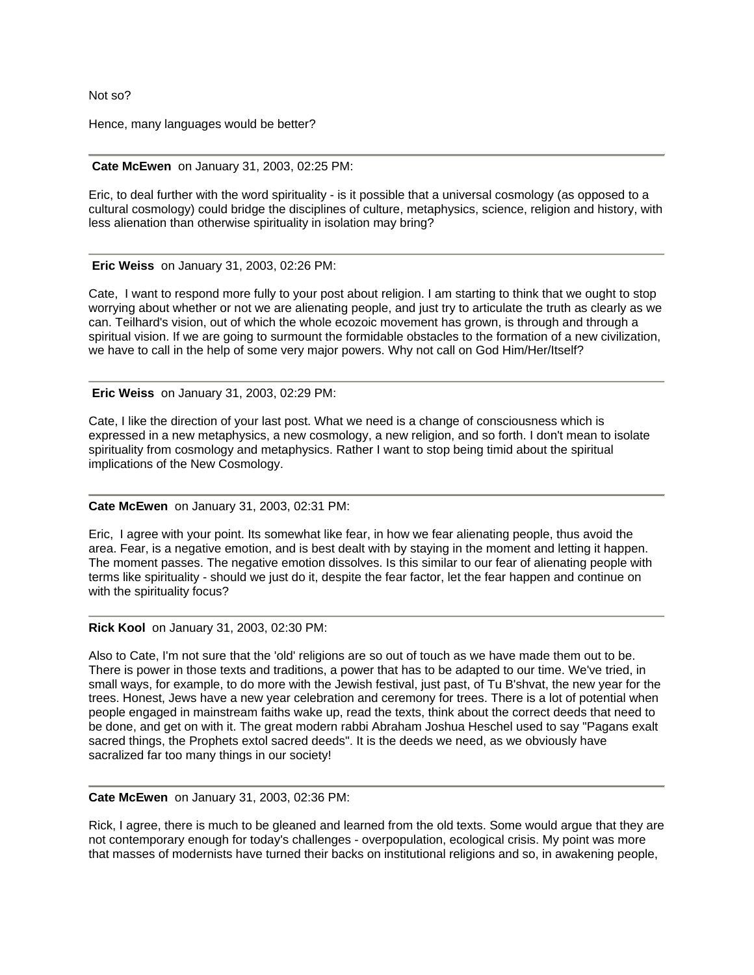Not so?

Hence, many languages would be better?

**Cate McEwen** on January 31, 2003, 02:25 PM:

Eric, to deal further with the word spirituality - is it possible that a universal cosmology (as opposed to a cultural cosmology) could bridge the disciplines of culture, metaphysics, science, religion and history, with less alienation than otherwise spirituality in isolation may bring?

**Eric Weiss** on January 31, 2003, 02:26 PM:

Cate, I want to respond more fully to your post about religion. I am starting to think that we ought to stop worrying about whether or not we are alienating people, and just try to articulate the truth as clearly as we can. Teilhard's vision, out of which the whole ecozoic movement has grown, is through and through a spiritual vision. If we are going to surmount the formidable obstacles to the formation of a new civilization, we have to call in the help of some very major powers. Why not call on God Him/Her/Itself?

**Eric Weiss** on January 31, 2003, 02:29 PM:

Cate, I like the direction of your last post. What we need is a change of consciousness which is expressed in a new metaphysics, a new cosmology, a new religion, and so forth. I don't mean to isolate spirituality from cosmology and metaphysics. Rather I want to stop being timid about the spiritual implications of the New Cosmology.

**Cate McEwen** on January 31, 2003, 02:31 PM:

Eric, I agree with your point. Its somewhat like fear, in how we fear alienating people, thus avoid the area. Fear, is a negative emotion, and is best dealt with by staying in the moment and letting it happen. The moment passes. The negative emotion dissolves. Is this similar to our fear of alienating people with terms like spirituality - should we just do it, despite the fear factor, let the fear happen and continue on with the spirituality focus?

**Rick Kool** on January 31, 2003, 02:30 PM:

Also to Cate, I'm not sure that the 'old' religions are so out of touch as we have made them out to be. There is power in those texts and traditions, a power that has to be adapted to our time. We've tried, in small ways, for example, to do more with the Jewish festival, just past, of Tu B'shvat, the new year for the trees. Honest, Jews have a new year celebration and ceremony for trees. There is a lot of potential when people engaged in mainstream faiths wake up, read the texts, think about the correct deeds that need to be done, and get on with it. The great modern rabbi Abraham Joshua Heschel used to say "Pagans exalt sacred things, the Prophets extol sacred deeds". It is the deeds we need, as we obviously have sacralized far too many things in our society!

**Cate McEwen** on January 31, 2003, 02:36 PM:

Rick, I agree, there is much to be gleaned and learned from the old texts. Some would argue that they are not contemporary enough for today's challenges - overpopulation, ecological crisis. My point was more that masses of modernists have turned their backs on institutional religions and so, in awakening people,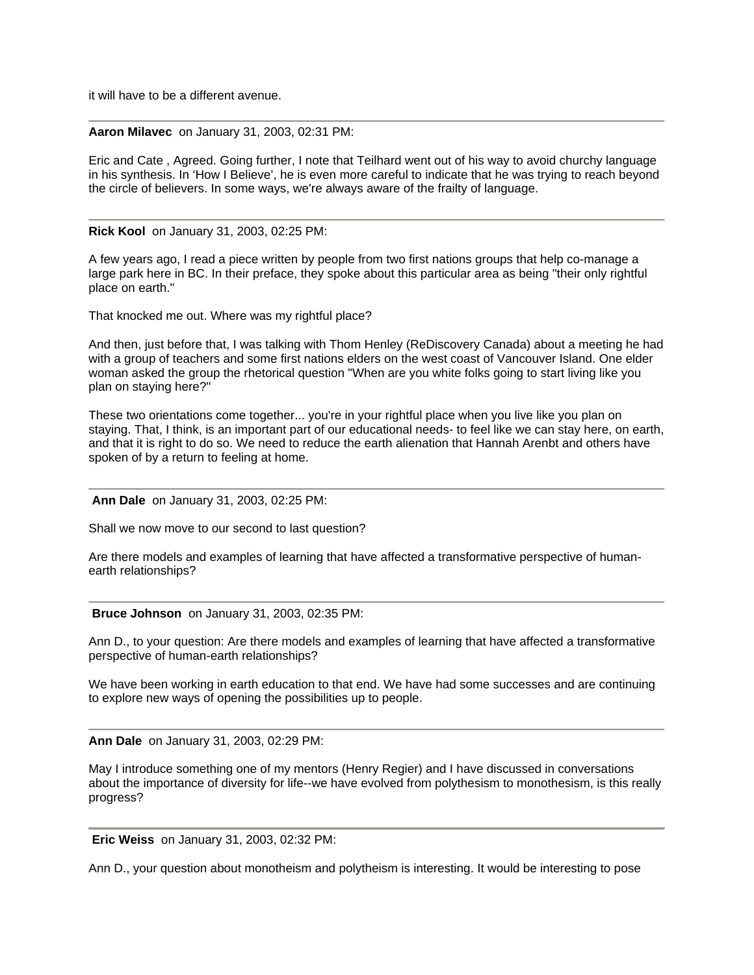it will have to be a different avenue.

#### **Aaron Milavec** on January 31, 2003, 02:31 PM:

Eric and Cate , Agreed. Going further, I note that Teilhard went out of his way to avoid churchy language in his synthesis. In 'How I Believe', he is even more careful to indicate that he was trying to reach beyond the circle of believers. In some ways, we're always aware of the frailty of language.

**Rick Kool** on January 31, 2003, 02:25 PM:

A few years ago, I read a piece written by people from two first nations groups that help co-manage a large park here in BC. In their preface, they spoke about this particular area as being "their only rightful place on earth."

That knocked me out. Where was my rightful place?

And then, just before that, I was talking with Thom Henley (ReDiscovery Canada) about a meeting he had with a group of teachers and some first nations elders on the west coast of Vancouver Island. One elder woman asked the group the rhetorical question "When are you white folks going to start living like you plan on staying here?"

These two orientations come together... you're in your rightful place when you live like you plan on staying. That, I think, is an important part of our educational needs- to feel like we can stay here, on earth, and that it is right to do so. We need to reduce the earth alienation that Hannah Arenbt and others have spoken of by a return to feeling at home.

**Ann Dale** on January 31, 2003, 02:25 PM:

Shall we now move to our second to last question?

Are there models and examples of learning that have affected a transformative perspective of humanearth relationships?

**Bruce Johnson** on January 31, 2003, 02:35 PM:

Ann D., to your question: Are there models and examples of learning that have affected a transformative perspective of human-earth relationships?

We have been working in earth education to that end. We have had some successes and are continuing to explore new ways of opening the possibilities up to people.

**Ann Dale** on January 31, 2003, 02:29 PM:

May I introduce something one of my mentors (Henry Regier) and I have discussed in conversations about the importance of diversity for life--we have evolved from polythesism to monothesism, is this really progress?

**Eric Weiss** on January 31, 2003, 02:32 PM:

Ann D., your question about monotheism and polytheism is interesting. It would be interesting to pose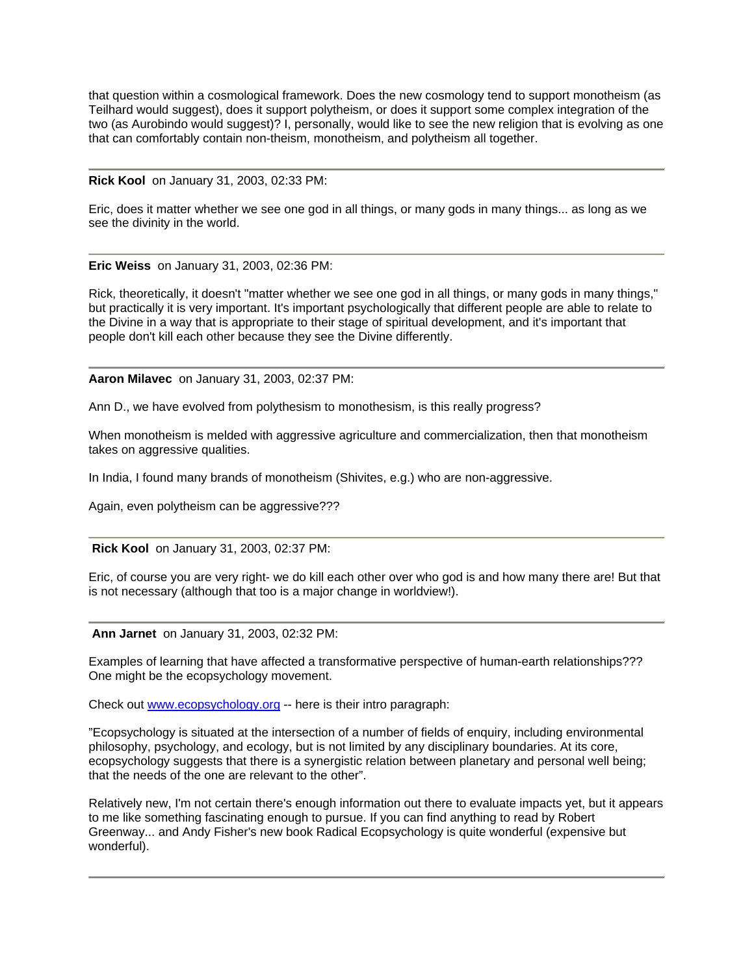that question within a cosmological framework. Does the new cosmology tend to support monotheism (as Teilhard would suggest), does it support polytheism, or does it support some complex integration of the two (as Aurobindo would suggest)? I, personally, would like to see the new religion that is evolving as one that can comfortably contain non-theism, monotheism, and polytheism all together.

### **Rick Kool** on January 31, 2003, 02:33 PM:

Eric, does it matter whether we see one god in all things, or many gods in many things... as long as we see the divinity in the world.

**Eric Weiss** on January 31, 2003, 02:36 PM:

Rick, theoretically, it doesn't "matter whether we see one god in all things, or many gods in many things," but practically it is very important. It's important psychologically that different people are able to relate to the Divine in a way that is appropriate to their stage of spiritual development, and it's important that people don't kill each other because they see the Divine differently.

**Aaron Milavec** on January 31, 2003, 02:37 PM:

Ann D., we have evolved from polythesism to monothesism, is this really progress?

When monotheism is melded with aggressive agriculture and commercialization, then that monotheism takes on aggressive qualities.

In India, I found many brands of monotheism (Shivites, e.g.) who are non-aggressive.

Again, even polytheism can be aggressive???

**Rick Kool** on January 31, 2003, 02:37 PM:

Eric, of course you are very right- we do kill each other over who god is and how many there are! But that is not necessary (although that too is a major change in worldview!).

**Ann Jarnet** on January 31, 2003, 02:32 PM:

Examples of learning that have affected a transformative perspective of human-earth relationships??? One might be the ecopsychology movement.

Check out [www.ecopsychology.org](http://www.ecopsychology.org/) -- here is their intro paragraph:

"Ecopsychology is situated at the intersection of a number of fields of enquiry, including environmental philosophy, psychology, and ecology, but is not limited by any disciplinary boundaries. At its core, ecopsychology suggests that there is a synergistic relation between planetary and personal well being; that the needs of the one are relevant to the other".

Relatively new, I'm not certain there's enough information out there to evaluate impacts yet, but it appears to me like something fascinating enough to pursue. If you can find anything to read by Robert Greenway... and Andy Fisher's new book Radical Ecopsychology is quite wonderful (expensive but wonderful).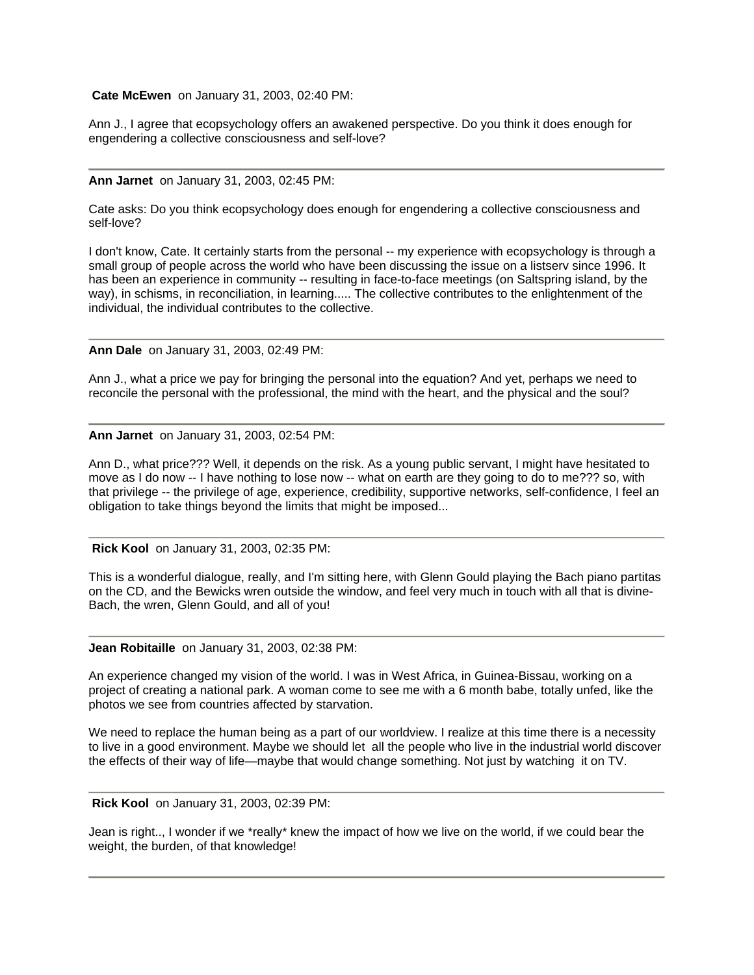**Cate McEwen** on January 31, 2003, 02:40 PM:

Ann J., I agree that ecopsychology offers an awakened perspective. Do you think it does enough for engendering a collective consciousness and self-love?

### **Ann Jarnet** on January 31, 2003, 02:45 PM:

Cate asks: Do you think ecopsychology does enough for engendering a collective consciousness and self-love?

I don't know, Cate. It certainly starts from the personal -- my experience with ecopsychology is through a small group of people across the world who have been discussing the issue on a listserv since 1996. It has been an experience in community -- resulting in face-to-face meetings (on Saltspring island, by the way), in schisms, in reconciliation, in learning..... The collective contributes to the enlightenment of the individual, the individual contributes to the collective.

**Ann Dale** on January 31, 2003, 02:49 PM:

Ann J., what a price we pay for bringing the personal into the equation? And yet, perhaps we need to reconcile the personal with the professional, the mind with the heart, and the physical and the soul?

**Ann Jarnet** on January 31, 2003, 02:54 PM:

Ann D., what price??? Well, it depends on the risk. As a young public servant, I might have hesitated to move as I do now -- I have nothing to lose now -- what on earth are they going to do to me??? so, with that privilege -- the privilege of age, experience, credibility, supportive networks, self-confidence, I feel an obligation to take things beyond the limits that might be imposed...

**Rick Kool** on January 31, 2003, 02:35 PM:

This is a wonderful dialogue, really, and I'm sitting here, with Glenn Gould playing the Bach piano partitas on the CD, and the Bewicks wren outside the window, and feel very much in touch with all that is divine-Bach, the wren, Glenn Gould, and all of you!

**Jean Robitaille** on January 31, 2003, 02:38 PM:

An experience changed my vision of the world. I was in West Africa, in Guinea-Bissau, working on a project of creating a national park. A woman come to see me with a 6 month babe, totally unfed, like the photos we see from countries affected by starvation.

We need to replace the human being as a part of our worldview. I realize at this time there is a necessity to live in a good environment. Maybe we should let all the people who live in the industrial world discover the effects of their way of life—maybe that would change something. Not just by watching it on TV.

**Rick Kool** on January 31, 2003, 02:39 PM:

Jean is right.., I wonder if we \*really\* knew the impact of how we live on the world, if we could bear the weight, the burden, of that knowledge!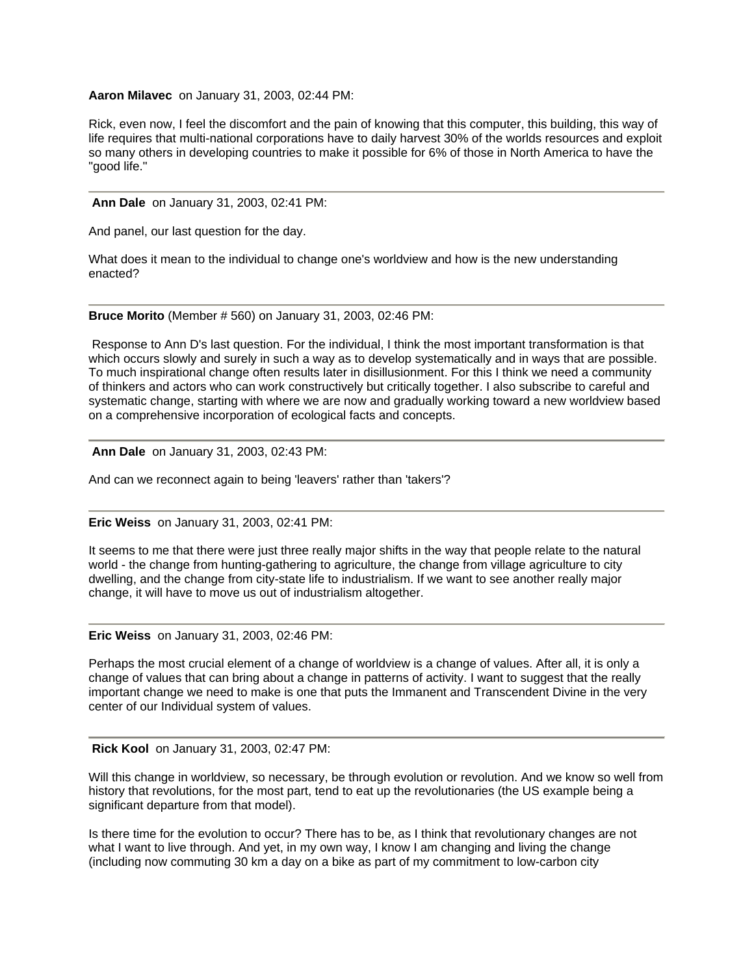### **Aaron Milavec** on January 31, 2003, 02:44 PM:

Rick, even now, I feel the discomfort and the pain of knowing that this computer, this building, this way of life requires that multi-national corporations have to daily harvest 30% of the worlds resources and exploit so many others in developing countries to make it possible for 6% of those in North America to have the "good life."

**Ann Dale** on January 31, 2003, 02:41 PM:

And panel, our last question for the day.

What does it mean to the individual to change one's worldview and how is the new understanding enacted?

**Bruce Morito** (Member # 560) on January 31, 2003, 02:46 PM:

 Response to Ann D's last question. For the individual, I think the most important transformation is that which occurs slowly and surely in such a way as to develop systematically and in ways that are possible. To much inspirational change often results later in disillusionment. For this I think we need a community of thinkers and actors who can work constructively but critically together. I also subscribe to careful and systematic change, starting with where we are now and gradually working toward a new worldview based on a comprehensive incorporation of ecological facts and concepts.

**Ann Dale** on January 31, 2003, 02:43 PM:

And can we reconnect again to being 'leavers' rather than 'takers'?

**Eric Weiss** on January 31, 2003, 02:41 PM:

It seems to me that there were just three really major shifts in the way that people relate to the natural world - the change from hunting-gathering to agriculture, the change from village agriculture to city dwelling, and the change from city-state life to industrialism. If we want to see another really major change, it will have to move us out of industrialism altogether.

**Eric Weiss** on January 31, 2003, 02:46 PM:

Perhaps the most crucial element of a change of worldview is a change of values. After all, it is only a change of values that can bring about a change in patterns of activity. I want to suggest that the really important change we need to make is one that puts the Immanent and Transcendent Divine in the very center of our Individual system of values.

**Rick Kool** on January 31, 2003, 02:47 PM:

Will this change in worldview, so necessary, be through evolution or revolution. And we know so well from history that revolutions, for the most part, tend to eat up the revolutionaries (the US example being a significant departure from that model).

Is there time for the evolution to occur? There has to be, as I think that revolutionary changes are not what I want to live through. And yet, in my own way, I know I am changing and living the change (including now commuting 30 km a day on a bike as part of my commitment to low-carbon city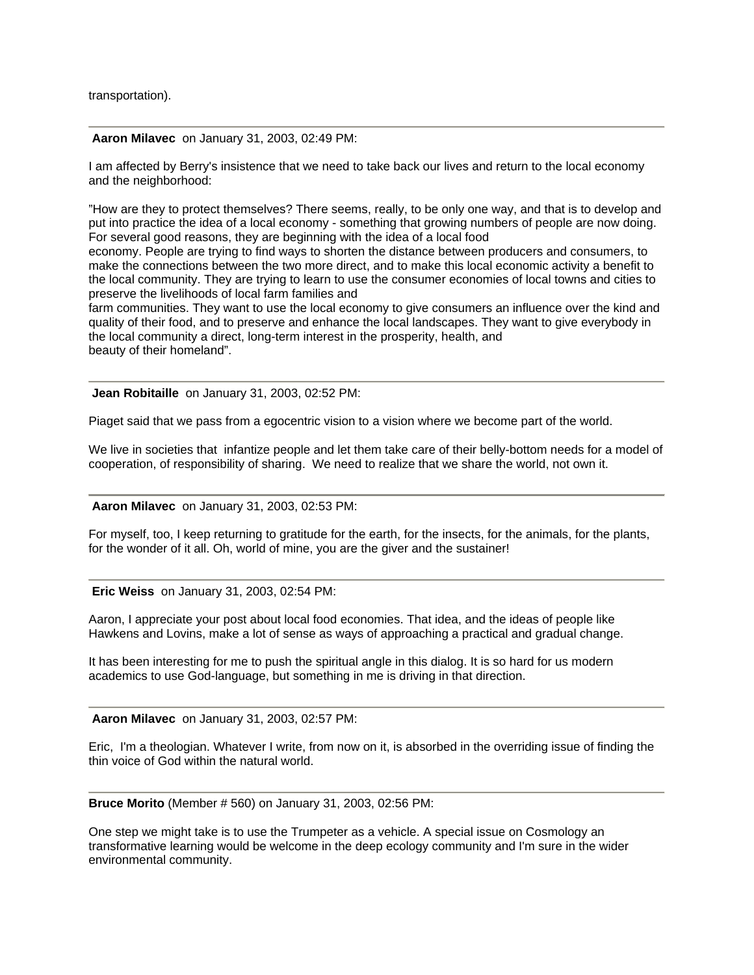transportation).

#### **Aaron Milavec** on January 31, 2003, 02:49 PM:

I am affected by Berry's insistence that we need to take back our lives and return to the local economy and the neighborhood:

"How are they to protect themselves? There seems, really, to be only one way, and that is to develop and put into practice the idea of a local economy - something that growing numbers of people are now doing. For several good reasons, they are beginning with the idea of a local food

economy. People are trying to find ways to shorten the distance between producers and consumers, to make the connections between the two more direct, and to make this local economic activity a benefit to the local community. They are trying to learn to use the consumer economies of local towns and cities to preserve the livelihoods of local farm families and

farm communities. They want to use the local economy to give consumers an influence over the kind and quality of their food, and to preserve and enhance the local landscapes. They want to give everybody in the local community a direct, long-term interest in the prosperity, health, and beauty of their homeland".

**Jean Robitaille** on January 31, 2003, 02:52 PM:

Piaget said that we pass from a egocentric vision to a vision where we become part of the world.

We live in societies that infantize people and let them take care of their belly-bottom needs for a model of cooperation, of responsibility of sharing. We need to realize that we share the world, not own it.

#### **Aaron Milavec** on January 31, 2003, 02:53 PM:

For myself, too, I keep returning to gratitude for the earth, for the insects, for the animals, for the plants, for the wonder of it all. Oh, world of mine, you are the giver and the sustainer!

**Eric Weiss** on January 31, 2003, 02:54 PM:

Aaron, I appreciate your post about local food economies. That idea, and the ideas of people like Hawkens and Lovins, make a lot of sense as ways of approaching a practical and gradual change.

It has been interesting for me to push the spiritual angle in this dialog. It is so hard for us modern academics to use God-language, but something in me is driving in that direction.

**Aaron Milavec** on January 31, 2003, 02:57 PM:

Eric, I'm a theologian. Whatever I write, from now on it, is absorbed in the overriding issue of finding the thin voice of God within the natural world.

**Bruce Morito** (Member # 560) on January 31, 2003, 02:56 PM:

One step we might take is to use the Trumpeter as a vehicle. A special issue on Cosmology an transformative learning would be welcome in the deep ecology community and I'm sure in the wider environmental community.